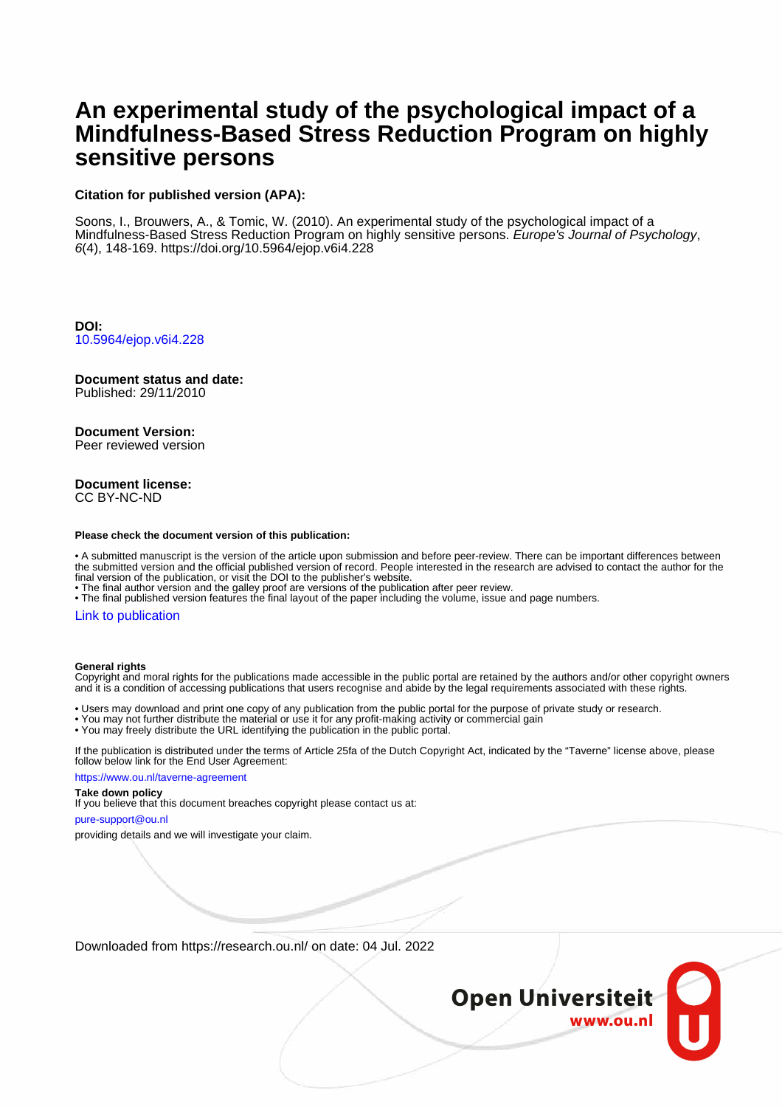# **An experimental study of the psychological impact of a Mindfulness-Based Stress Reduction Program on highly sensitive persons**

### **Citation for published version (APA):**

Soons, I., Brouwers, A., & Tomic, W. (2010). An experimental study of the psychological impact of a Mindfulness-Based Stress Reduction Program on highly sensitive persons. Europe's Journal of Psychology, 6(4), 148-169. <https://doi.org/10.5964/ejop.v6i4.228>

**DOI:** [10.5964/ejop.v6i4.228](https://doi.org/10.5964/ejop.v6i4.228)

### **Document status and date:**

Published: 29/11/2010

### **Document Version:**

Peer reviewed version

# **Document license:**

CC BY-NC-ND

#### **Please check the document version of this publication:**

• A submitted manuscript is the version of the article upon submission and before peer-review. There can be important differences between the submitted version and the official published version of record. People interested in the research are advised to contact the author for the final version of the publication, or visit the DOI to the publisher's website.

• The final author version and the galley proof are versions of the publication after peer review.

• The final published version features the final layout of the paper including the volume, issue and page numbers.

### [Link to publication](https://research.ou.nl/en/publications/f56345dc-8731-42b5-9456-eacf29e5ae98)

#### **General rights**

Copyright and moral rights for the publications made accessible in the public portal are retained by the authors and/or other copyright owners and it is a condition of accessing publications that users recognise and abide by the legal requirements associated with these rights.

• Users may download and print one copy of any publication from the public portal for the purpose of private study or research.

- You may not further distribute the material or use it for any profit-making activity or commercial gain
- You may freely distribute the URL identifying the publication in the public portal.

If the publication is distributed under the terms of Article 25fa of the Dutch Copyright Act, indicated by the "Taverne" license above, please follow below link for the End User Agreement:

https://www.ou.nl/taverne-agreement

#### **Take down policy**

If you believe that this document breaches copyright please contact us at:

pure-support@ou.nl

providing details and we will investigate your claim.

Downloaded from https://research.ou.nl/ on date: 04 Jul. 2022

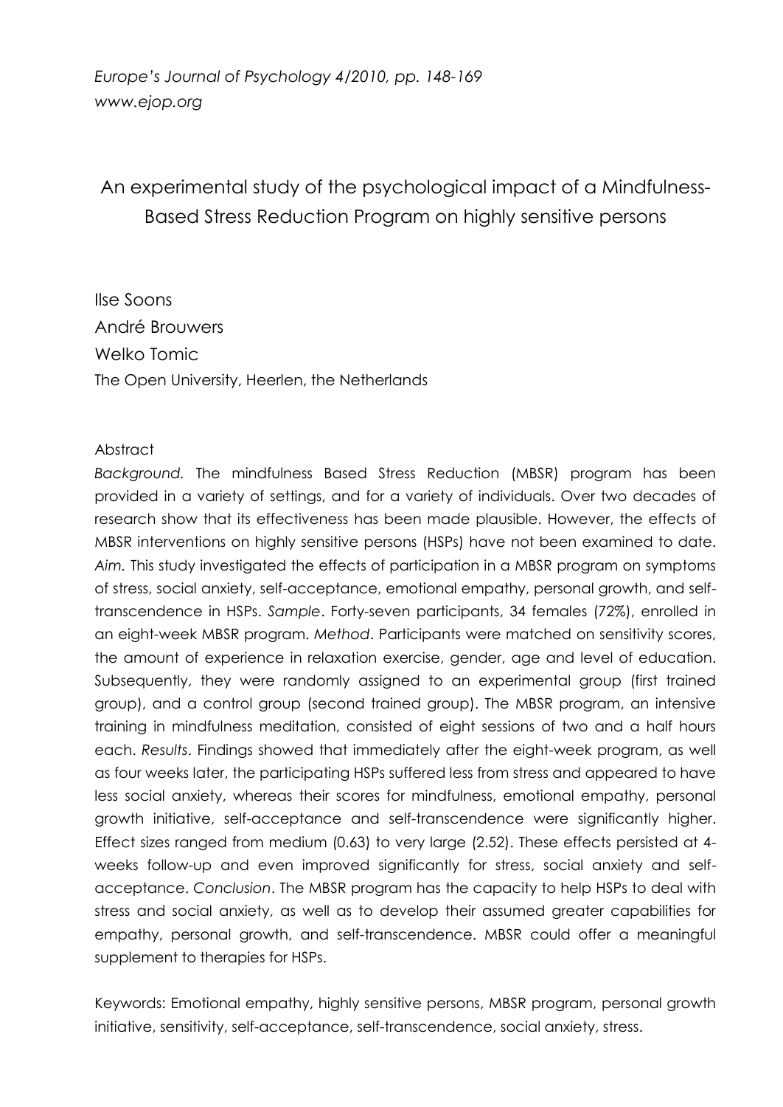*Europe's Journal of Psychology 4/2010, pp. 148-169 [www.ejop.org](http://www.ejop.org/)*

An experimental study of the psychological impact of a Mindfulness-Based Stress Reduction Program on highly sensitive persons

Ilse Soons André Brouwers Welko Tomic The Open University, Heerlen, the Netherlands

### Abstract

*Background.* The mindfulness Based Stress Reduction (MBSR) program has been provided in a variety of settings, and for a variety of individuals. Over two decades of research show that its effectiveness has been made plausible. However, the effects of MBSR interventions on highly sensitive persons (HSPs) have not been examined to date. *Aim.* This study investigated the effects of participation in a MBSR program on symptoms of stress, social anxiety, self-acceptance, emotional empathy, personal growth, and selftranscendence in HSPs. *Sample*. Forty-seven participants, 34 females (72%), enrolled in an eight-week MBSR program. *Method*. Participants were matched on sensitivity scores, the amount of experience in relaxation exercise, gender, age and level of education. Subsequently, they were randomly assigned to an experimental group (first trained group), and a control group (second trained group). The MBSR program, an intensive training in mindfulness meditation, consisted of eight sessions of two and a half hours each. *Results*. Findings showed that immediately after the eight-week program, as well as four weeks later, the participating HSPs suffered less from stress and appeared to have less social anxiety, whereas their scores for mindfulness, emotional empathy, personal growth initiative, self-acceptance and self-transcendence were significantly higher. Effect sizes ranged from medium (0.63) to very large (2.52). These effects persisted at 4 weeks follow-up and even improved significantly for stress, social anxiety and selfacceptance. *Conclusion*. The MBSR program has the capacity to help HSPs to deal with stress and social anxiety, as well as to develop their assumed greater capabilities for empathy, personal growth, and self-transcendence. MBSR could offer a meaningful supplement to therapies for HSPs.

Keywords: Emotional empathy, highly sensitive persons, MBSR program, personal growth initiative, sensitivity, self-acceptance, self-transcendence, social anxiety, stress.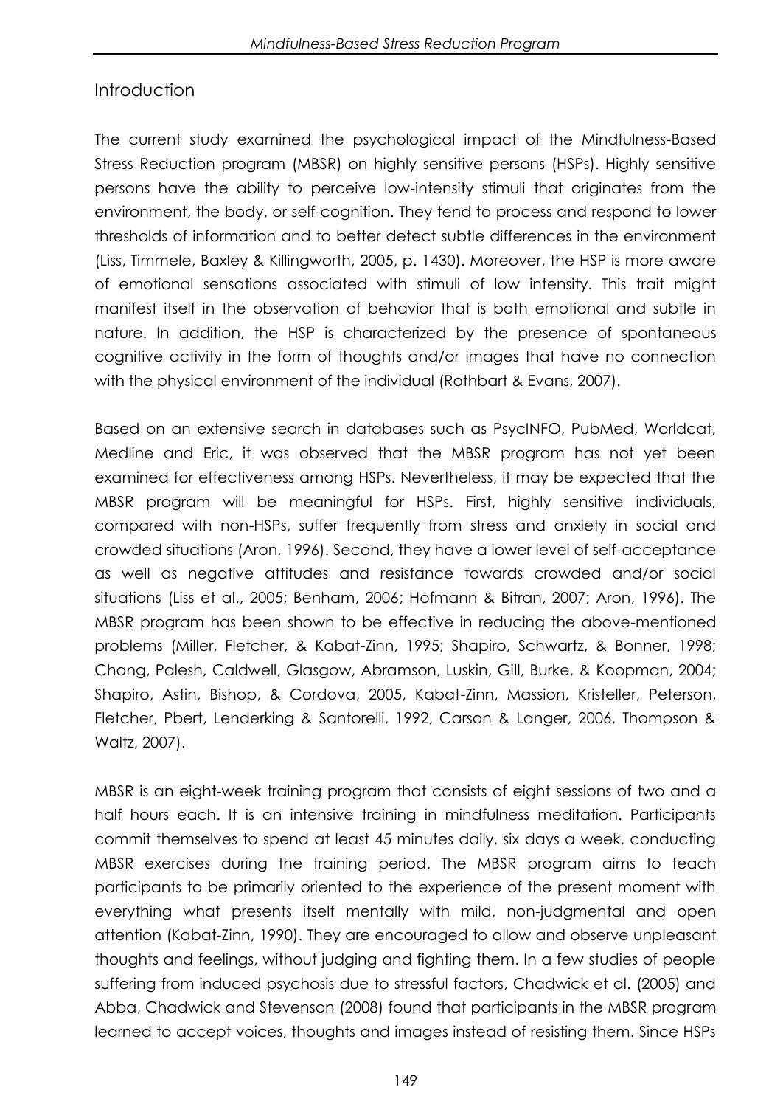# **Introduction**

The current study examined the psychological impact of the Mindfulness-Based Stress Reduction program (MBSR) on highly sensitive persons (HSPs). Highly sensitive persons have the ability to perceive low-intensity stimuli that originates from the environment, the body, or self-cognition. They tend to process and respond to lower thresholds of information and to better detect subtle differences in the environment (Liss, Timmele, Baxley & Killingworth, 2005, p. 1430). Moreover, the HSP is more aware of emotional sensations associated with stimuli of low intensity. This trait might manifest itself in the observation of behavior that is both emotional and subtle in nature. In addition, the HSP is characterized by the presence of spontaneous cognitive activity in the form of thoughts and/or images that have no connection with the physical environment of the individual (Rothbart & Evans, 2007).

Based on an extensive search in databases such as PsycINFO, PubMed, Worldcat, Medline and Eric, it was observed that the MBSR program has not yet been examined for effectiveness among HSPs. Nevertheless, it may be expected that the MBSR program will be meaningful for HSPs. First, highly sensitive individuals, compared with non-HSPs, suffer frequently from stress and anxiety in social and crowded situations (Aron, 1996). Second, they have a lower level of self-acceptance as well as negative attitudes and resistance towards crowded and/or social situations (Liss et al., 2005; Benham, 2006; Hofmann & Bitran, 2007; Aron, 1996). The MBSR program has been shown to be effective in reducing the above-mentioned problems (Miller, Fletcher, & Kabat-Zinn, 1995; Shapiro, Schwartz, & Bonner, 1998; Chang, Palesh, Caldwell, Glasgow, Abramson, Luskin, Gill, Burke, & Koopman, 2004; Shapiro, Astin, Bishop, & Cordova, 2005, Kabat-Zinn, Massion, Kristeller, Peterson, Fletcher, Pbert, Lenderking & Santorelli, 1992, Carson & Langer, 2006, Thompson & Waltz, 2007).

MBSR is an eight-week training program that consists of eight sessions of two and a half hours each. It is an intensive training in mindfulness meditation. Participants commit themselves to spend at least 45 minutes daily, six days a week, conducting MBSR exercises during the training period. The MBSR program aims to teach participants to be primarily oriented to the experience of the present moment with everything what presents itself mentally with mild, non-judgmental and open attention (Kabat-Zinn, 1990). They are encouraged to allow and observe unpleasant thoughts and feelings, without judging and fighting them. In a few studies of people suffering from induced psychosis due to stressful factors, Chadwick et al. (2005) and Abba, Chadwick and Stevenson (2008) found that participants in the MBSR program learned to accept voices, thoughts and images instead of resisting them. Since HSPs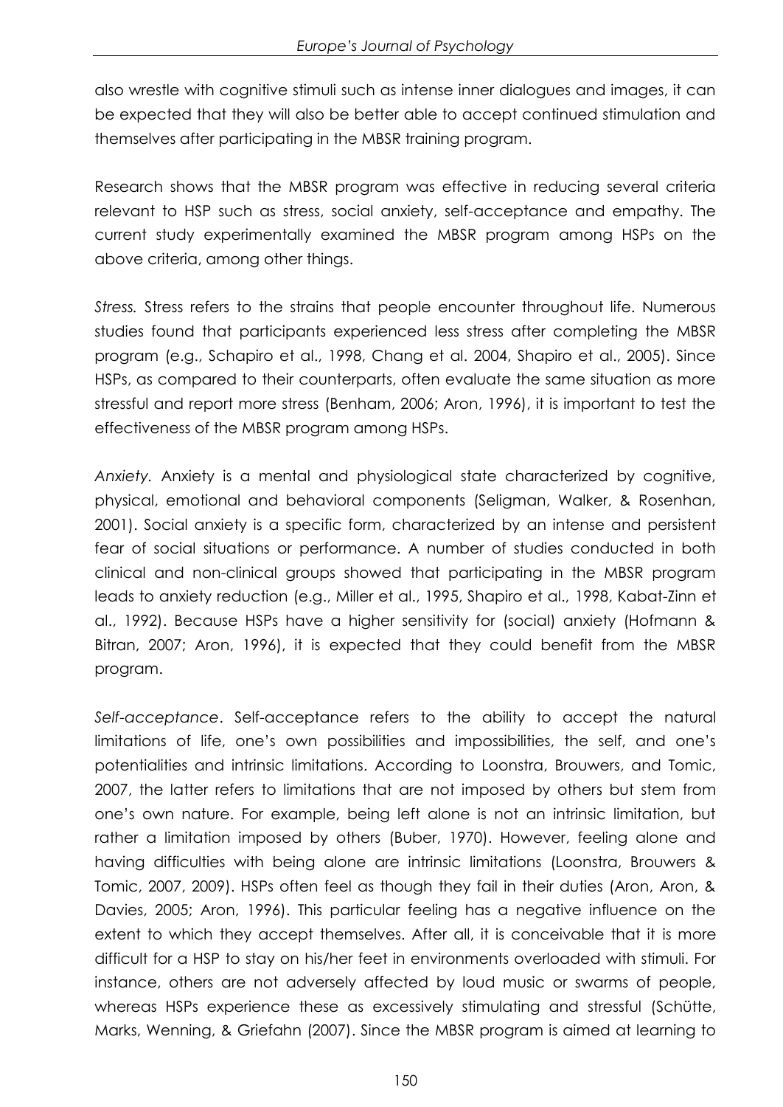also wrestle with cognitive stimuli such as intense inner dialogues and images, it can be expected that they will also be better able to accept continued stimulation and themselves after participating in the MBSR training program.

Research shows that the MBSR program was effective in reducing several criteria relevant to HSP such as stress, social anxiety, self-acceptance and empathy. The current study experimentally examined the MBSR program among HSPs on the above criteria, among other things.

*Stress.* Stress refers to the strains that people encounter throughout life. Numerous studies found that participants experienced less stress after completing the MBSR program (e.g., Schapiro et al., 1998, Chang et al. 2004, Shapiro et al., 2005). Since HSPs, as compared to their counterparts, often evaluate the same situation as more stressful and report more stress (Benham, 2006; Aron, 1996), it is important to test the effectiveness of the MBSR program among HSPs.

*Anxiety.* Anxiety is a mental and physiological state characterized by cognitive, physical, emotional and behavioral components (Seligman, Walker, & Rosenhan, 2001). Social anxiety is a specific form, characterized by an intense and persistent fear of social situations or performance. A number of studies conducted in both clinical and non-clinical groups showed that participating in the MBSR program leads to anxiety reduction (e.g., Miller et al., 1995, Shapiro et al., 1998, Kabat-Zinn et al., 1992). Because HSPs have a higher sensitivity for (social) anxiety (Hofmann & Bitran, 2007; Aron, 1996), it is expected that they could benefit from the MBSR program.

*Self-acceptance*. Self-acceptance refers to the ability to accept the natural limitations of life, one's own possibilities and impossibilities, the self, and one's potentialities and intrinsic limitations. According to Loonstra, Brouwers, and Tomic, 2007, the latter refers to limitations that are not imposed by others but stem from one's own nature. For example, being left alone is not an intrinsic limitation, but rather a limitation imposed by others (Buber, 1970). However, feeling alone and having difficulties with being alone are intrinsic limitations (Loonstra, Brouwers & Tomic, 2007, 2009). HSPs often feel as though they fail in their duties (Aron, Aron, & Davies, 2005; Aron, 1996). This particular feeling has a negative influence on the extent to which they accept themselves. After all, it is conceivable that it is more difficult for a HSP to stay on his/her feet in environments overloaded with stimuli. For instance, others are not adversely affected by loud music or swarms of people, whereas HSPs experience these as excessively stimulating and stressful (Schütte, Marks, Wenning, & Griefahn (2007). Since the MBSR program is aimed at learning to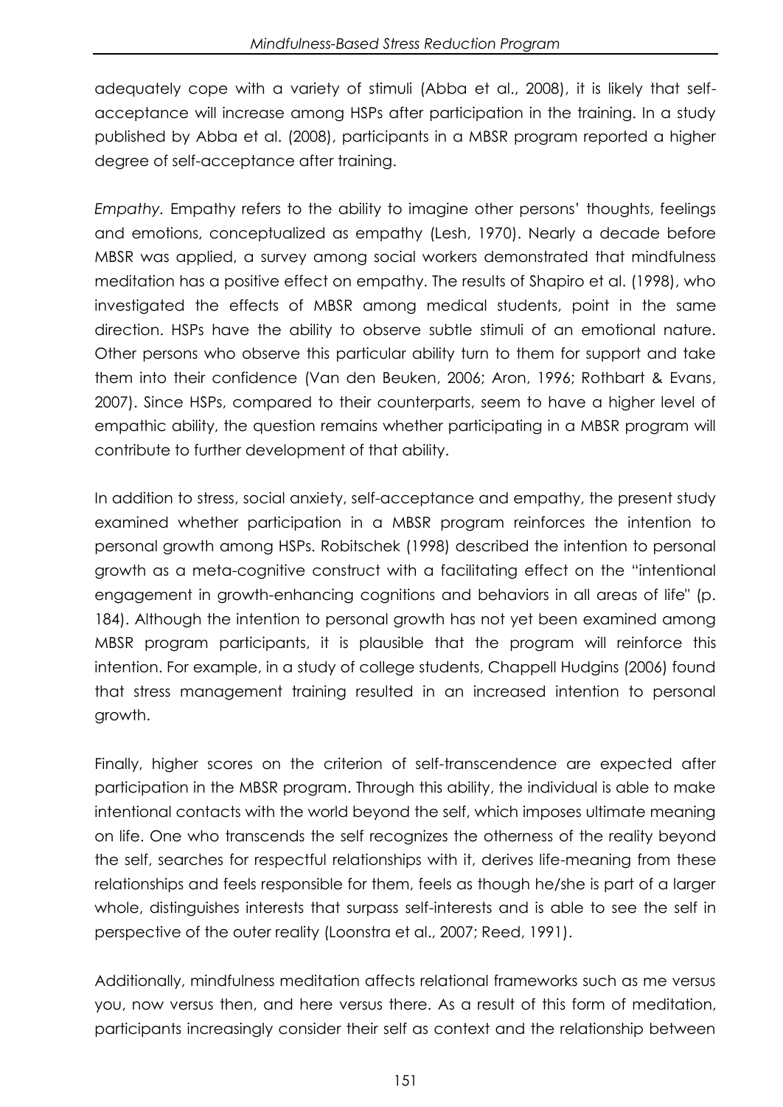adequately cope with a variety of stimuli (Abba et al., 2008), it is likely that selfacceptance will increase among HSPs after participation in the training. In a study published by Abba et al. (2008), participants in a MBSR program reported a higher degree of self-acceptance after training.

*Empathy.* Empathy refers to the ability to imagine other persons' thoughts, feelings and emotions, conceptualized as empathy (Lesh, 1970). Nearly a decade before MBSR was applied, a survey among social workers demonstrated that mindfulness meditation has a positive effect on empathy. The results of Shapiro et al. (1998), who investigated the effects of MBSR among medical students, point in the same direction. HSPs have the ability to observe subtle stimuli of an emotional nature. Other persons who observe this particular ability turn to them for support and take them into their confidence (Van den Beuken, 2006; Aron, 1996; Rothbart & Evans, 2007). Since HSPs, compared to their counterparts, seem to have a higher level of empathic ability, the question remains whether participating in a MBSR program will contribute to further development of that ability.

In addition to stress, social anxiety, self-acceptance and empathy, the present study examined whether participation in a MBSR program reinforces the intention to personal growth among HSPs. Robitschek (1998) described the intention to personal growth as a meta-cognitive construct with a facilitating effect on the "intentional engagement in growth-enhancing cognitions and behaviors in all areas of life" (p. 184). Although the intention to personal growth has not yet been examined among MBSR program participants, it is plausible that the program will reinforce this intention. For example, in a study of college students, Chappell Hudgins (2006) found that stress management training resulted in an increased intention to personal growth.

Finally, higher scores on the criterion of self-transcendence are expected after participation in the MBSR program. Through this ability, the individual is able to make intentional contacts with the world beyond the self, which imposes ultimate meaning on life. One who transcends the self recognizes the otherness of the reality beyond the self, searches for respectful relationships with it, derives life-meaning from these relationships and feels responsible for them, feels as though he/she is part of a larger whole, distinguishes interests that surpass self-interests and is able to see the self in perspective of the outer reality (Loonstra et al., 2007; Reed, 1991).

Additionally, mindfulness meditation affects relational frameworks such as me versus you, now versus then, and here versus there. As a result of this form of meditation, participants increasingly consider their self as context and the relationship between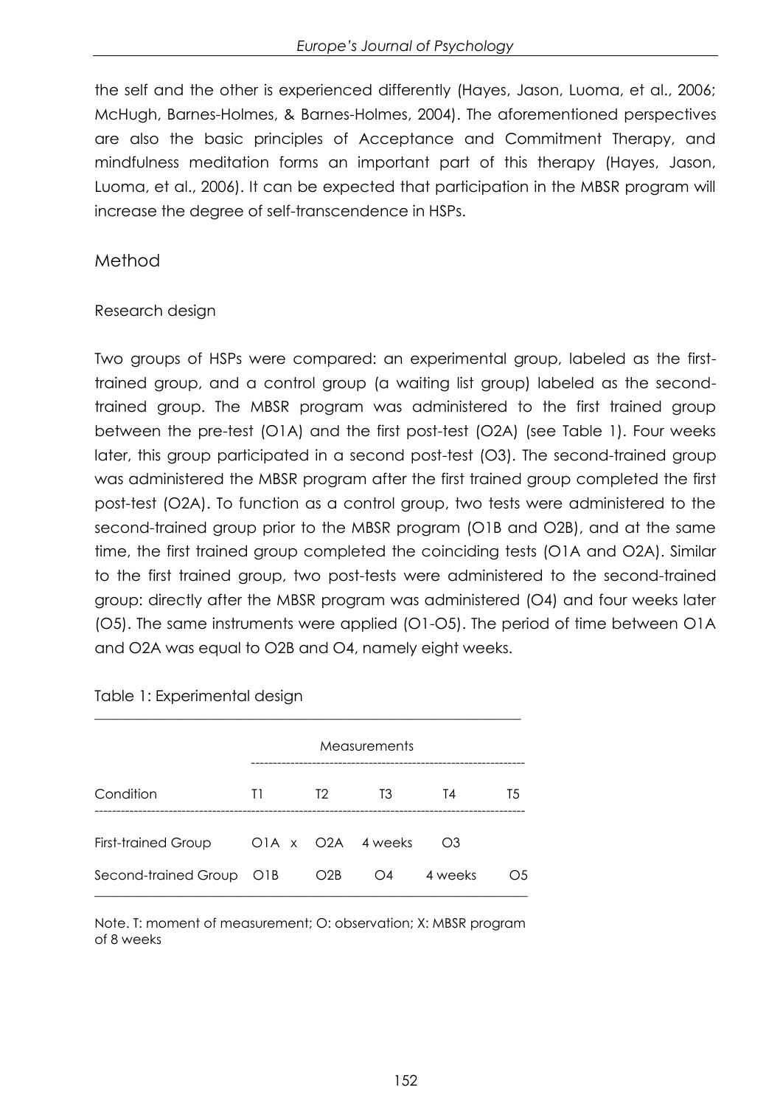the self and the other is experienced differently (Hayes, Jason, Luoma, et al., 2006; McHugh, Barnes-Holmes, & Barnes-Holmes, 2004). The aforementioned perspectives are also the basic principles of Acceptance and Commitment Therapy, and mindfulness meditation forms an important part of this therapy (Hayes, Jason, Luoma, et al., 2006). It can be expected that participation in the MBSR program will increase the degree of self-transcendence in HSPs.

# Method

# Research design

Two groups of HSPs were compared: an experimental group, labeled as the firsttrained group, and a control group (a waiting list group) labeled as the secondtrained group. The MBSR program was administered to the first trained group between the pre-test (O1A) and the first post-test (O2A) (see Table 1). Four weeks later, this group participated in a second post-test (O3). The second-trained group was administered the MBSR program after the first trained group completed the first post-test (O2A). To function as a control group, two tests were administered to the second-trained group prior to the MBSR program (O1B and O2B), and at the same time, the first trained group completed the coinciding tests (O1A and O2A). Similar to the first trained group, two post-tests were administered to the second-trained group: directly after the MBSR program was administered (O4) and four weeks later (O5). The same instruments were applied (O1-O5). The period of time between O1A and O2A was equal to O2B and O4, namely eight weeks.

|  |  | Table 1: Experimental design |  |
|--|--|------------------------------|--|
|--|--|------------------------------|--|

|                          | <b>Measurements</b> |                |    |                |                |  |  |  |
|--------------------------|---------------------|----------------|----|----------------|----------------|--|--|--|
| Condition                | Τl                  | T <sub>2</sub> | T3 | T4             | T5             |  |  |  |
| First-trained Group      | OIA x O2A 4 weeks   |                |    | O <sub>3</sub> |                |  |  |  |
| Second-trained Group O1B |                     | O2B            | O4 | 4 weeks        | O <sub>5</sub> |  |  |  |

\_\_\_\_\_\_\_\_\_\_\_\_\_\_\_\_\_\_\_\_\_\_\_\_\_\_\_\_\_\_\_\_\_\_\_\_\_\_\_\_\_\_\_\_\_\_\_\_\_\_\_\_\_\_\_\_\_\_\_\_\_\_\_\_\_

Note. T: moment of measurement; O: observation; X: MBSR program of 8 weeks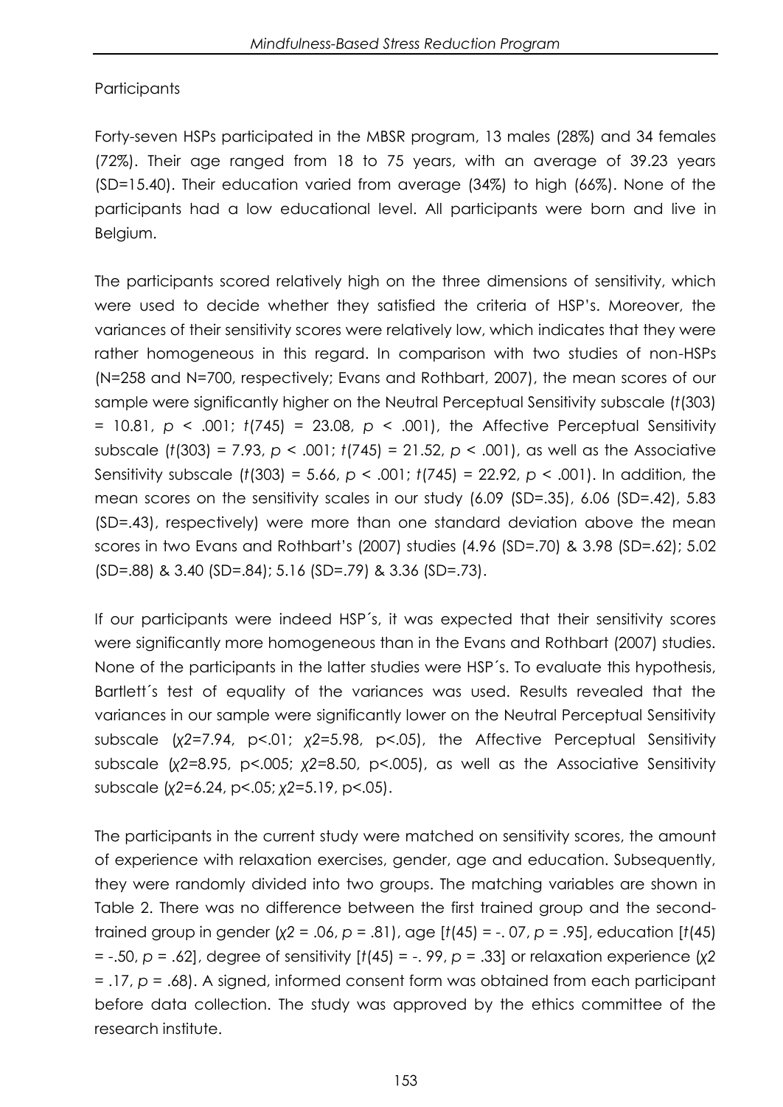# **Participants**

Forty-seven HSPs participated in the MBSR program, 13 males (28%) and 34 females (72%). Their age ranged from 18 to 75 years, with an average of 39.23 years (SD=15.40). Their education varied from average (34%) to high (66%). None of the participants had a low educational level. All participants were born and live in Belgium.

The participants scored relatively high on the three dimensions of sensitivity, which were used to decide whether they satisfied the criteria of HSP's. Moreover, the variances of their sensitivity scores were relatively low, which indicates that they were rather homogeneous in this regard. In comparison with two studies of non-HSPs (N=258 and N=700, respectively; Evans and Rothbart, 2007), the mean scores of our sample were significantly higher on the Neutral Perceptual Sensitivity subscale (*t*(303) = 10.81, *p* < .001; *t*(745) = 23.08, *p* < .001), the Affective Perceptual Sensitivity subscale (*t*(303) = 7.93, *p* < .001; *t*(745) = 21.52, *p* < .001), as well as the Associative Sensitivity subscale (*t*(303) = 5.66, *p* < .001; *t*(745) = 22.92, *p* < .001). In addition, the mean scores on the sensitivity scales in our study (6.09 (SD=.35), 6.06 (SD=.42), 5.83 (SD=.43), respectively) were more than one standard deviation above the mean scores in two Evans and Rothbart's (2007) studies (4.96 (SD=.70) & 3.98 (SD=.62); 5.02 (SD=.88) & 3.40 (SD=.84); 5.16 (SD=.79) & 3.36 (SD=.73).

If our participants were indeed HSP´s, it was expected that their sensitivity scores were significantly more homogeneous than in the Evans and Rothbart (2007) studies. None of the participants in the latter studies were HSP´s. To evaluate this hypothesis, Bartlett´s test of equality of the variances was used. Results revealed that the variances in our sample were significantly lower on the Neutral Perceptual Sensitivity subscale (*χ2*=7.94, p<.01; *χ2*=5.98, p<.05), the Affective Perceptual Sensitivity subscale (*χ2*=8.95, p<.005; *χ2*=8.50, p<.005), as well as the Associative Sensitivity subscale (*χ2*=6.24, p<.05; *χ2*=5.19, p<.05).

The participants in the current study were matched on sensitivity scores, the amount of experience with relaxation exercises, gender, age and education. Subsequently, they were randomly divided into two groups. The matching variables are shown in Table 2. There was no difference between the first trained group and the secondtrained group in gender (*χ2* = .06, *p* = .81), age [*t*(45) = -. 07, *p* = .95], education [*t*(45) = -.50, *p* = .62], degree of sensitivity [*t*(45) = -. 99, *p* = .33] or relaxation experience (*χ2* = .17, *p* = .68). A signed, informed consent form was obtained from each participant before data collection. The study was approved by the ethics committee of the research institute.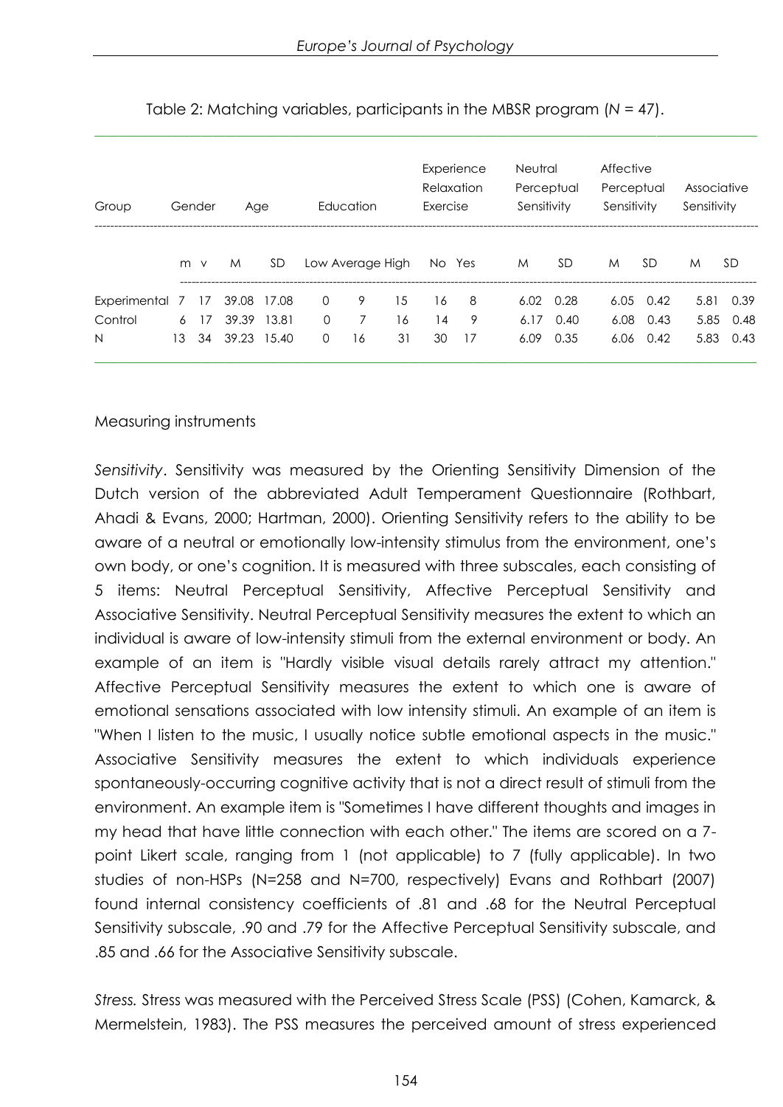| Group          |    | Gender   | Age         |       | Education |                  |    | Experience<br>Relaxation<br>Exercise |    | <b>Neutral</b><br>Perceptual<br>Sensitivity |      | Affective<br>Perceptual<br>Sensitivity |           | Associative<br>Sensitivity |      |
|----------------|----|----------|-------------|-------|-----------|------------------|----|--------------------------------------|----|---------------------------------------------|------|----------------------------------------|-----------|----------------------------|------|
|                |    | $m \vee$ | M           | SD    |           | Low Average High |    | No Yes                               |    | M                                           | SD   | M                                      | <b>SD</b> | M                          | SD   |
| Experimental 7 |    | 17       | 39.08 17.08 |       | 0         | 9                | 15 | 16                                   | 8  | $6.02 \quad 0.28$                           |      | 6.05                                   | 0.42      | 5.81                       | 0.39 |
| Control        | 6  | 17       | 39.39       | 13.81 | $\Omega$  |                  | 16 | 14                                   | 9  | 6.17                                        | 0.40 | 6.08                                   | 0.43      | 5.85                       | 0.48 |
| N              | 13 | 34       | 39.23       | 15.40 | 0         | 16               | 31 | 30                                   | 17 | 6.09                                        | 0.35 | 6.06                                   | 0.42      | 5.83                       | 0.43 |

 $\_$  ,  $\_$  ,  $\_$  ,  $\_$  ,  $\_$  ,  $\_$  ,  $\_$  ,  $\_$  ,  $\_$  ,  $\_$  ,  $\_$  ,  $\_$  ,  $\_$  ,  $\_$  ,  $\_$  ,  $\_$  ,  $\_$  ,  $\_$  ,  $\_$  ,  $\_$  ,  $\_$  ,  $\_$  ,  $\_$  ,  $\_$  ,  $\_$  ,  $\_$  ,  $\_$  ,  $\_$  ,  $\_$  ,  $\_$  ,  $\_$  ,  $\_$  ,  $\_$  ,  $\_$  ,  $\_$  ,  $\_$  ,  $\_$  ,

Table 2: Matching variables, participants in the MBSR program (*N* = 47).

## Measuring instruments

*Sensitivity*. Sensitivity was measured by the Orienting Sensitivity Dimension of the Dutch version of the abbreviated Adult Temperament Questionnaire (Rothbart, Ahadi & Evans, 2000; Hartman, 2000). Orienting Sensitivity refers to the ability to be aware of a neutral or emotionally low-intensity stimulus from the environment, one's own body, or one's cognition. It is measured with three subscales, each consisting of 5 items: Neutral Perceptual Sensitivity, Affective Perceptual Sensitivity and Associative Sensitivity. Neutral Perceptual Sensitivity measures the extent to which an individual is aware of low-intensity stimuli from the external environment or body. An example of an item is "Hardly visible visual details rarely attract my attention." Affective Perceptual Sensitivity measures the extent to which one is aware of emotional sensations associated with low intensity stimuli. An example of an item is "When I listen to the music, I usually notice subtle emotional aspects in the music." Associative Sensitivity measures the extent to which individuals experience spontaneously-occurring cognitive activity that is not a direct result of stimuli from the environment. An example item is "Sometimes I have different thoughts and images in my head that have little connection with each other." The items are scored on a 7 point Likert scale, ranging from 1 (not applicable) to 7 (fully applicable). In two studies of non-HSPs (N=258 and N=700, respectively) Evans and Rothbart (2007) found internal consistency coefficients of .81 and .68 for the Neutral Perceptual Sensitivity subscale, .90 and .79 for the Affective Perceptual Sensitivity subscale, and .85 and .66 for the Associative Sensitivity subscale.

*Stress.* Stress was measured with the Perceived Stress Scale (PSS) (Cohen, Kamarck, & Mermelstein, 1983). The PSS measures the perceived amount of stress experienced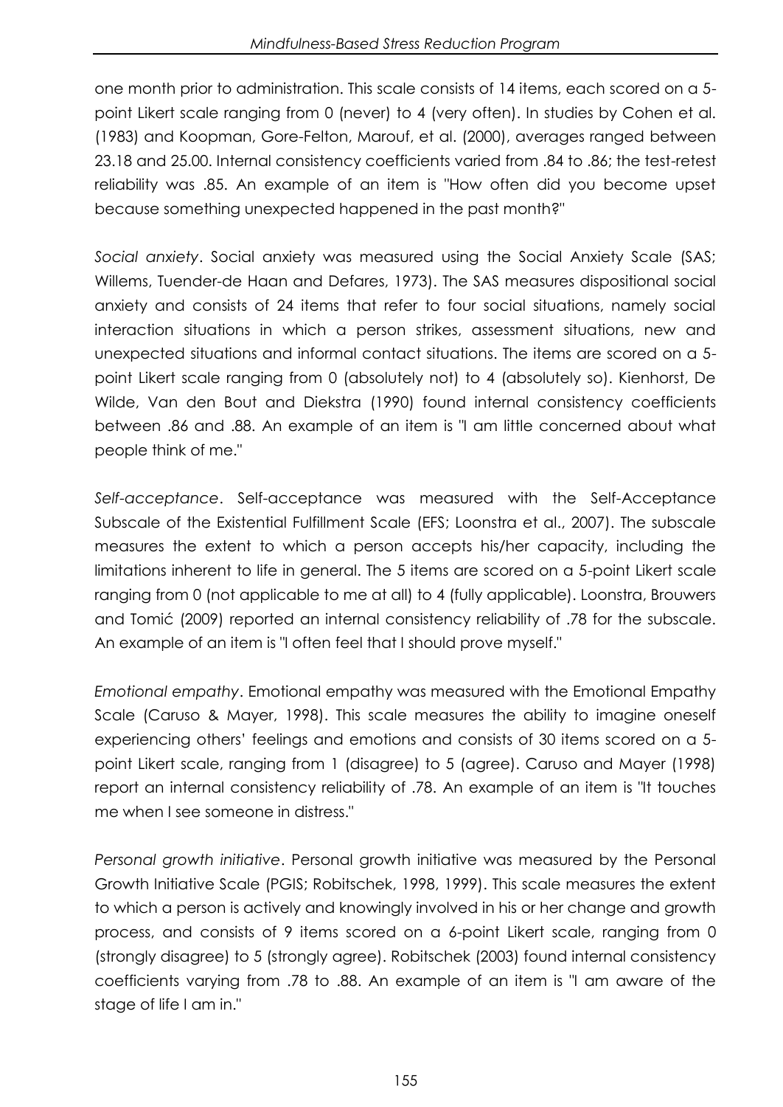one month prior to administration. This scale consists of 14 items, each scored on a 5 point Likert scale ranging from 0 (never) to 4 (very often). In studies by Cohen et al. (1983) and Koopman, Gore-Felton, Marouf, et al. (2000), averages ranged between 23.18 and 25.00. Internal consistency coefficients varied from .84 to .86; the test-retest reliability was .85. An example of an item is "How often did you become upset because something unexpected happened in the past month?"

*Social anxiety*. Social anxiety was measured using the Social Anxiety Scale (SAS; Willems, Tuender-de Haan and Defares, 1973). The SAS measures dispositional social anxiety and consists of 24 items that refer to four social situations, namely social interaction situations in which a person strikes, assessment situations, new and unexpected situations and informal contact situations. The items are scored on a 5 point Likert scale ranging from 0 (absolutely not) to 4 (absolutely so). Kienhorst, De Wilde, Van den Bout and Diekstra (1990) found internal consistency coefficients between .86 and .88. An example of an item is "I am little concerned about what people think of me."

*Self-acceptance*. Self-acceptance was measured with the Self-Acceptance Subscale of the Existential Fulfillment Scale (EFS; Loonstra et al., 2007). The subscale measures the extent to which a person accepts his/her capacity, including the limitations inherent to life in general. The 5 items are scored on a 5-point Likert scale ranging from 0 (not applicable to me at all) to 4 (fully applicable). Loonstra, Brouwers and Tomić (2009) reported an internal consistency reliability of .78 for the subscale. An example of an item is "I often feel that I should prove myself."

*Emotional empathy*. Emotional empathy was measured with the Emotional Empathy Scale (Caruso & Mayer, 1998). This scale measures the ability to imagine oneself experiencing others' feelings and emotions and consists of 30 items scored on a 5 point Likert scale, ranging from 1 (disagree) to 5 (agree). Caruso and Mayer (1998) report an internal consistency reliability of .78. An example of an item is "It touches me when I see someone in distress."

*Personal growth initiative*. Personal growth initiative was measured by the Personal Growth Initiative Scale (PGIS; Robitschek, 1998, 1999). This scale measures the extent to which a person is actively and knowingly involved in his or her change and growth process, and consists of 9 items scored on a 6-point Likert scale, ranging from 0 (strongly disagree) to 5 (strongly agree). Robitschek (2003) found internal consistency coefficients varying from .78 to .88. An example of an item is "I am aware of the stage of life I am in."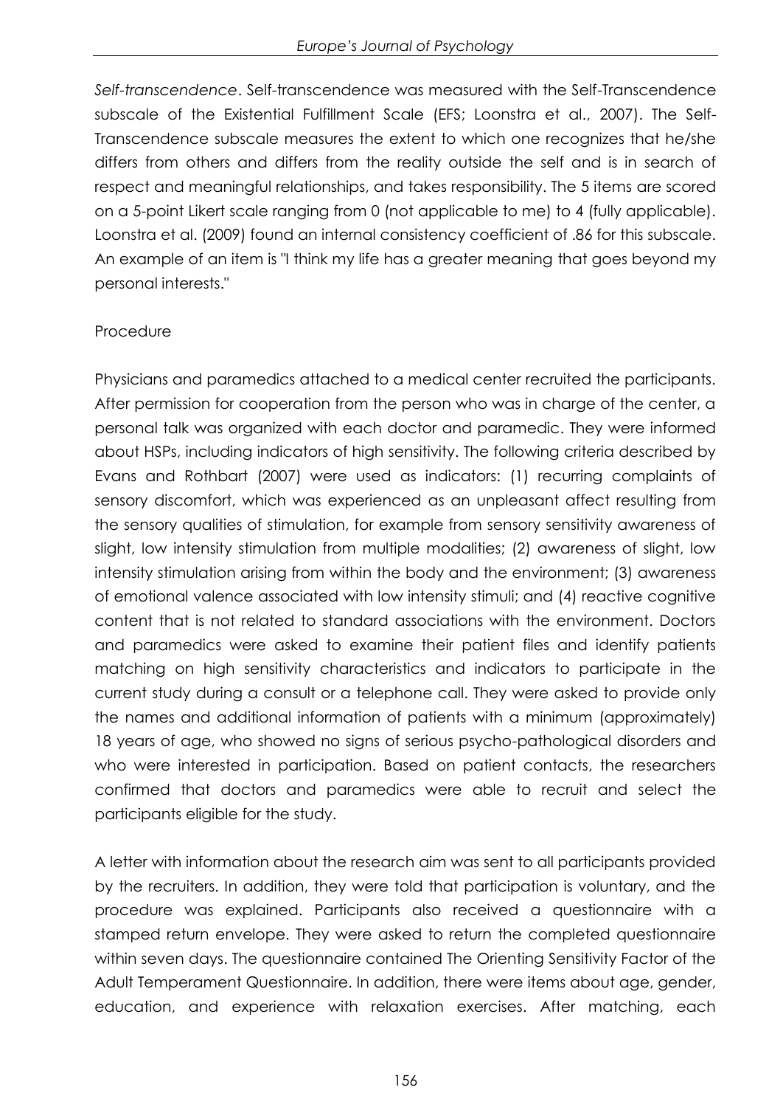*Self-transcendence*. Self-transcendence was measured with the Self-Transcendence subscale of the Existential Fulfillment Scale (EFS; Loonstra et al., 2007). The Self-Transcendence subscale measures the extent to which one recognizes that he/she differs from others and differs from the reality outside the self and is in search of respect and meaningful relationships, and takes responsibility. The 5 items are scored on a 5-point Likert scale ranging from 0 (not applicable to me) to 4 (fully applicable). Loonstra et al. (2009) found an internal consistency coefficient of .86 for this subscale. An example of an item is "I think my life has a greater meaning that goes beyond my personal interests."

# Procedure

Physicians and paramedics attached to a medical center recruited the participants. After permission for cooperation from the person who was in charge of the center, a personal talk was organized with each doctor and paramedic. They were informed about HSPs, including indicators of high sensitivity. The following criteria described by Evans and Rothbart (2007) were used as indicators: (1) recurring complaints of sensory discomfort, which was experienced as an unpleasant affect resulting from the sensory qualities of stimulation, for example from sensory sensitivity awareness of slight, low intensity stimulation from multiple modalities; (2) awareness of slight, low intensity stimulation arising from within the body and the environment; (3) awareness of emotional valence associated with low intensity stimuli; and (4) reactive cognitive content that is not related to standard associations with the environment. Doctors and paramedics were asked to examine their patient files and identify patients matching on high sensitivity characteristics and indicators to participate in the current study during a consult or a telephone call. They were asked to provide only the names and additional information of patients with a minimum (approximately) 18 years of age, who showed no signs of serious psycho-pathological disorders and who were interested in participation. Based on patient contacts, the researchers confirmed that doctors and paramedics were able to recruit and select the participants eligible for the study.

A letter with information about the research aim was sent to all participants provided by the recruiters. In addition, they were told that participation is voluntary, and the procedure was explained. Participants also received a questionnaire with a stamped return envelope. They were asked to return the completed questionnaire within seven days. The questionnaire contained The Orienting Sensitivity Factor of the Adult Temperament Questionnaire. In addition, there were items about age, gender, education, and experience with relaxation exercises. After matching, each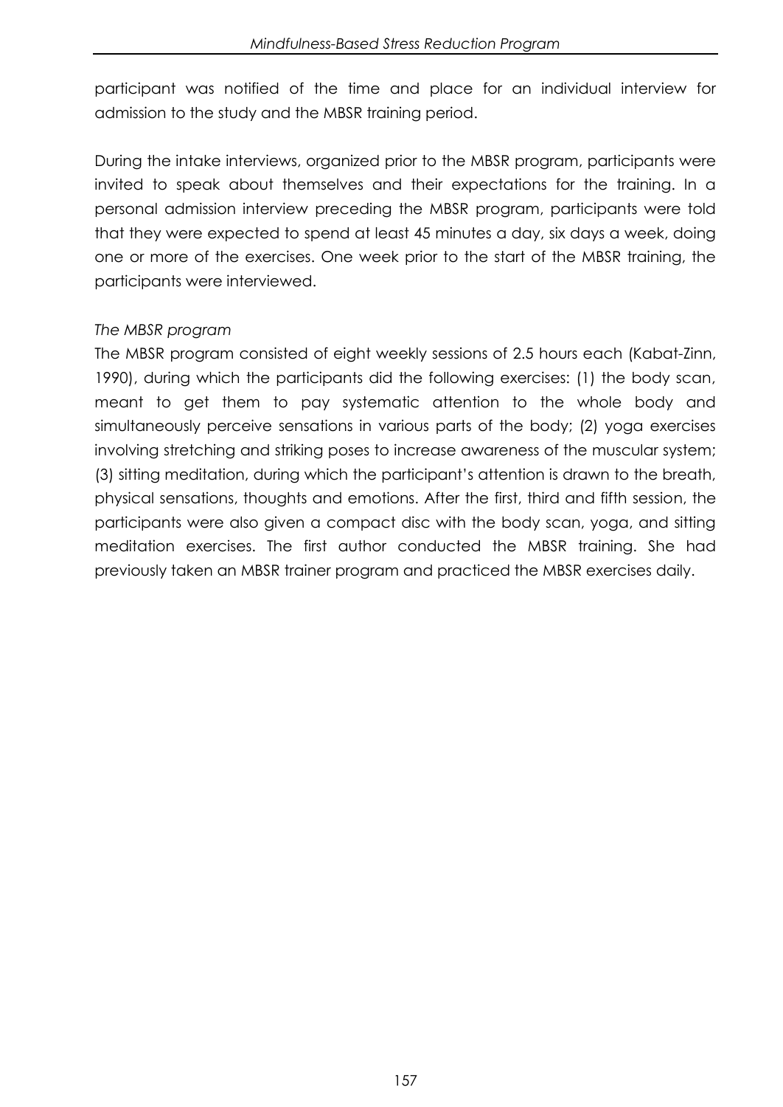participant was notified of the time and place for an individual interview for admission to the study and the MBSR training period.

During the intake interviews, organized prior to the MBSR program, participants were invited to speak about themselves and their expectations for the training. In a personal admission interview preceding the MBSR program, participants were told that they were expected to spend at least 45 minutes a day, six days a week, doing one or more of the exercises. One week prior to the start of the MBSR training, the participants were interviewed.

## *The MBSR program*

The MBSR program consisted of eight weekly sessions of 2.5 hours each (Kabat-Zinn, 1990), during which the participants did the following exercises: (1) the body scan, meant to get them to pay systematic attention to the whole body and simultaneously perceive sensations in various parts of the body; (2) yoga exercises involving stretching and striking poses to increase awareness of the muscular system; (3) sitting meditation, during which the participant's attention is drawn to the breath, physical sensations, thoughts and emotions. After the first, third and fifth session, the participants were also given a compact disc with the body scan, yoga, and sitting meditation exercises. The first author conducted the MBSR training. She had previously taken an MBSR trainer program and practiced the MBSR exercises daily.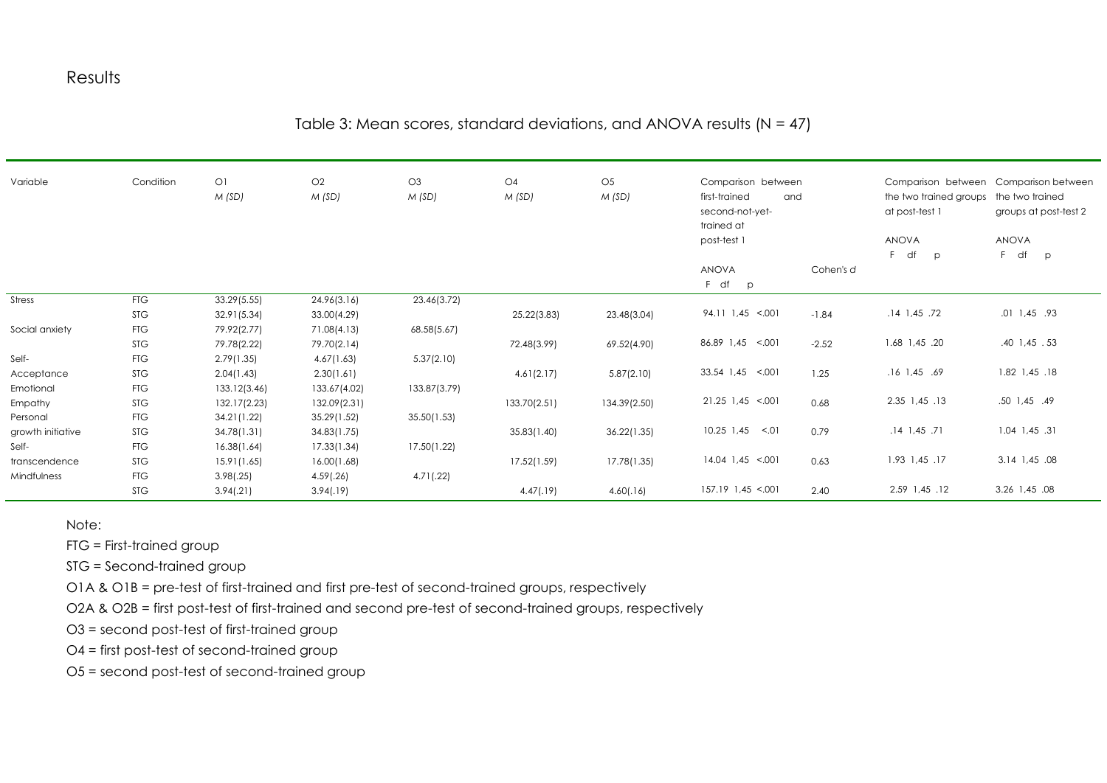## Results

## Table 3: Mean scores, standard deviations, and ANOVA results  $(N = 47)$

| Variable          | Condition  |              | O2           | O3           | O <sub>4</sub> | $\bigcirc$   | Comparison between   |           | Comparison between     | Comparison between    |  |
|-------------------|------------|--------------|--------------|--------------|----------------|--------------|----------------------|-----------|------------------------|-----------------------|--|
|                   |            | M(SD)        | M(SD)        | M(SD)        | M(SD)          | M(SD)        | first-trained<br>and |           | the two trained groups | the two trained       |  |
|                   |            |              |              |              |                |              | second-not-yet-      |           | at post-test 1         | groups at post-test 2 |  |
|                   |            |              |              |              |                |              | trained at           |           |                        |                       |  |
|                   |            |              |              |              |                |              | post-test 1          |           | <b>ANOVA</b>           | <b>ANOVA</b>          |  |
|                   |            |              |              |              |                |              |                      |           | df<br>F.<br>$\circ$    | F df<br>$\mathsf{p}$  |  |
|                   |            |              |              |              |                |              | <b>ANOVA</b>         | Cohen's d |                        |                       |  |
|                   |            |              |              |              |                |              | F df p               |           |                        |                       |  |
| Stress            | <b>FTG</b> | 33.29 (5.55) | 24.96(3.16)  | 23.46(3.72)  |                |              |                      |           |                        |                       |  |
|                   | <b>STG</b> | 32.91 (5.34) | 33.00(4.29)  |              | 25.22(3.83)    | 23.48(3.04)  | $94.11$ $1,45$ <.001 | $-1.84$   | .14 1,45 .72           | .01 1,45 .93          |  |
| Social anxiety    | <b>FTG</b> | 79.92(2.77)  | 71.08(4.13)  | 68.58(5.67)  |                |              |                      |           |                        |                       |  |
|                   | <b>STG</b> | 79.78(2.22)  | 79.70(2.14)  |              | 72.48(3.99)    | 69.52(4.90)  | 86.89 1,45 <.001     | $-2.52$   | 1.68 1,45 .20          | .40 1,45 .53          |  |
| Self-             | <b>FTG</b> | 2.79(1.35)   | 4.67(1.63)   | 5.37(2.10)   |                |              |                      |           |                        |                       |  |
| Acceptance        | <b>STG</b> | 2.04(1.43)   | 2.30(1.61)   |              | 4.61(2.17)     | 5.87(2.10)   | 33.54 1,45 <.001     | 1.25      | .16 1,45 .69           | 1.82 1,45 .18         |  |
| Emotional         | <b>FTG</b> | 133.12(3.46) | 133.67(4.02) | 133.87(3.79) |                |              |                      |           |                        |                       |  |
| Empathy           | <b>STG</b> | 132.17(2.23) | 132.09(2.31) |              | 133.70(2.51)   | 134.39(2.50) | $21.25$ $1,45$ <.001 | 0.68      | 2.35 1,45 .13          | .50 1,45 .49          |  |
| Personal          | <b>FTG</b> | 34.21 (1.22) | 35.29(1.52)  | 35.50(1.53)  |                |              |                      |           |                        |                       |  |
| growth initiative | <b>STG</b> | 34.78(1.31)  | 34.83(1.75)  |              | 35.83(1.40)    | 36.22(1.35)  | $10.25$ $1,45$ <.01  | 0.79      | $.14$ $1,45$ $.71$     | $1.04$ $1.45$ $.31$   |  |
| Self-             | <b>FTG</b> | 16.38(1.64)  | 17.33(1.34)  | 17.50(1.22)  |                |              |                      |           |                        |                       |  |
| transcendence     | <b>STG</b> | 15.91(1.65)  | 16.00(1.68)  |              | 17.52(1.59)    | 17.78(1.35)  | $14.04$ $1.45$ <.001 | 0.63      | 1.93 1,45 .17          | 3.14 1,45 .08         |  |
| Mindfulness       | <b>FTG</b> | 3.98(.25)    | 4.59(.26)    | 4.71(.22)    |                |              |                      |           |                        |                       |  |
|                   | <b>STG</b> | 3.94(.21)    | 3.94(.19)    |              | 4.47(.19)      | 4.60(.16)    | 157.19 1,45 <.001    | 2.40      | 2.59 1,45 .12          | 3.26 1,45 .08         |  |

Note:

FTG = First-trained group

STG = Second-trained group

O1A & O1B = pre-test of first-trained and first pre-test of second-trained groups, respectively

O2A & O2B = first post-test of first-trained and second pre-test of second-trained groups, respectively

O3 = second post-test of first-trained group

O4 = first post-test of second-trained group

O5 = second post-test of second-trained group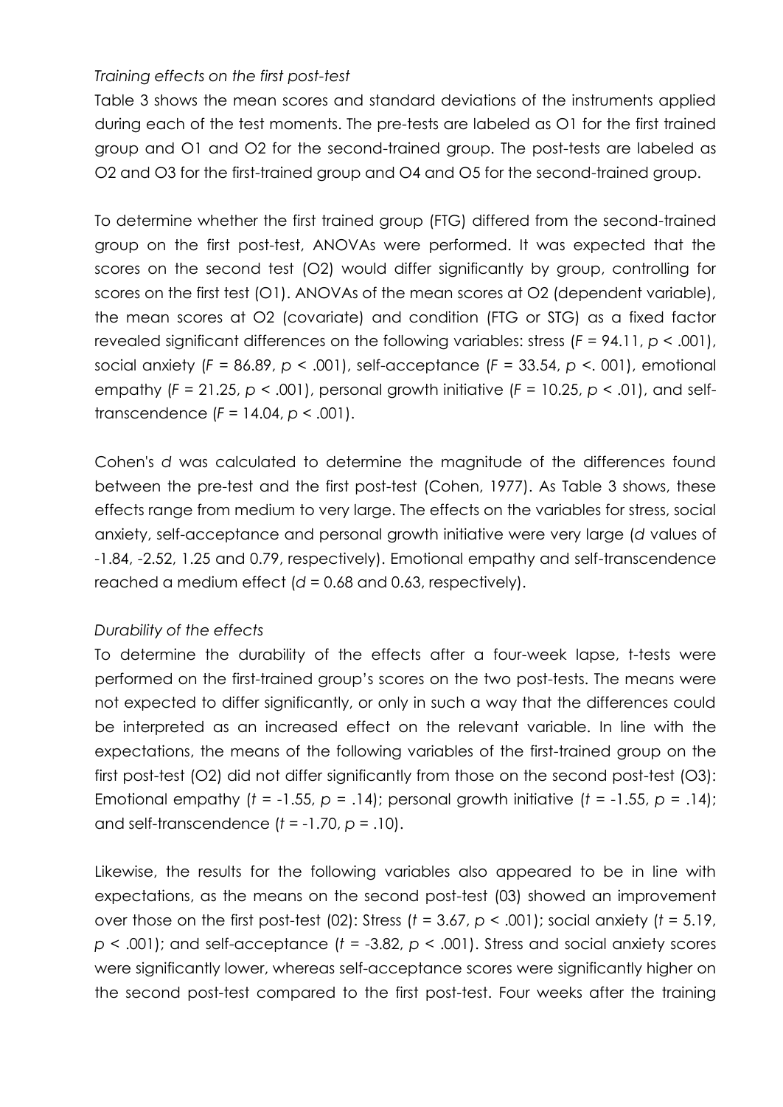# *Training effects on the first post-test*

Table 3 shows the mean scores and standard deviations of the instruments applied during each of the test moments. The pre-tests are labeled as O1 for the first trained group and O1 and O2 for the second-trained group. The post-tests are labeled as O2 and O3 for the first-trained group and O4 and O5 for the second-trained group.

To determine whether the first trained group (FTG) differed from the second-trained group on the first post-test, ANOVAs were performed. It was expected that the scores on the second test (O2) would differ significantly by group, controlling for scores on the first test (O1). ANOVAs of the mean scores at O2 (dependent variable), the mean scores at O2 (covariate) and condition (FTG or STG) as a fixed factor revealed significant differences on the following variables: stress (*F* = 94.11, *p* < .001), social anxiety (*F* = 86.89, *p* < .001), self-acceptance (*F* = 33.54, *p* <. 001), emotional empathy (*F* = 21.25, *p* < .001), personal growth initiative (*F* = 10.25, *p* < .01), and selftranscendence (*F* = 14.04, *p* < .001).

Cohen's *d* was calculated to determine the magnitude of the differences found between the pre-test and the first post-test (Cohen, 1977). As Table 3 shows, these effects range from medium to very large. The effects on the variables for stress, social anxiety, self-acceptance and personal growth initiative were very large (*d* values of -1.84, -2.52, 1.25 and 0.79, respectively). Emotional empathy and self-transcendence reached a medium effect (*d* = 0.68 and 0.63, respectively).

# *Durability of the effects*

To determine the durability of the effects after a four-week lapse, t-tests were performed on the first-trained group's scores on the two post-tests. The means were not expected to differ significantly, or only in such a way that the differences could be interpreted as an increased effect on the relevant variable. In line with the expectations, the means of the following variables of the first-trained group on the first post-test (O2) did not differ significantly from those on the second post-test (O3): Emotional empathy  $(t = -1.55, p = .14)$ ; personal growth initiative  $(t = -1.55, p = .14)$ ; and self-transcendence (*t* = -1.70, *p* = .10).

Likewise, the results for the following variables also appeared to be in line with expectations, as the means on the second post-test (03) showed an improvement over those on the first post-test (02): Stress (*t* = 3.67, *p* < .001); social anxiety (*t* = 5.19, *p* < .001); and self-acceptance (*t* = -3.82, *p* < .001). Stress and social anxiety scores were significantly lower, whereas self-acceptance scores were significantly higher on the second post-test compared to the first post-test. Four weeks after the training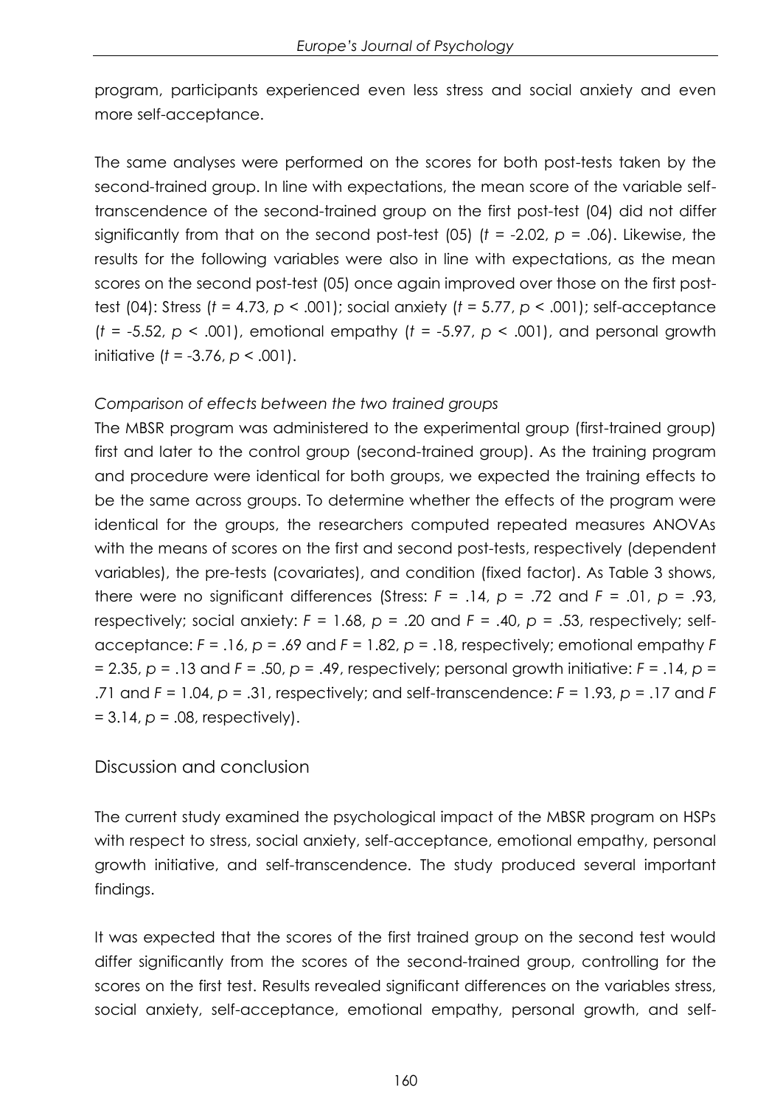program, participants experienced even less stress and social anxiety and even more self-acceptance.

The same analyses were performed on the scores for both post-tests taken by the second-trained group. In line with expectations, the mean score of the variable selftranscendence of the second-trained group on the first post-test (04) did not differ significantly from that on the second post-test (05) (*t* = -2.02, *p* = .06). Likewise, the results for the following variables were also in line with expectations, as the mean scores on the second post-test (05) once again improved over those on the first posttest (04): Stress (*t* = 4.73, *p* < .001); social anxiety (*t* = 5.77, *p* < .001); self-acceptance (*t* = -5.52, *p* < .001), emotional empathy (*t* = -5.97, *p* < .001), and personal growth initiative (*t* = -3.76, *p* < .001).

# *Comparison of effects between the two trained groups*

The MBSR program was administered to the experimental group (first-trained group) first and later to the control group (second-trained group). As the training program and procedure were identical for both groups, we expected the training effects to be the same across groups. To determine whether the effects of the program were identical for the groups, the researchers computed repeated measures ANOVAs with the means of scores on the first and second post-tests, respectively (dependent variables), the pre-tests (covariates), and condition (fixed factor). As Table 3 shows, there were no significant differences (Stress: *F* = .14, *p* = .72 and *F* = .01, *p* = .93, respectively; social anxiety:  $F = 1.68$ ,  $p = .20$  and  $F = .40$ ,  $p = .53$ , respectively; selfacceptance: *F* = .16, *p* = .69 and *F* = 1.82, *p* = .18, respectively; emotional empathy *F* = 2.35, *p* = .13 and *F* = .50, *p* = .49, respectively; personal growth initiative: *F* = .14, *p* = .71 and *F* = 1.04, *p* = .31, respectively; and self-transcendence: *F* = 1.93, *p* = .17 and *F* = 3.14, *p* = .08, respectively).

# Discussion and conclusion

The current study examined the psychological impact of the MBSR program on HSPs with respect to stress, social anxiety, self-acceptance, emotional empathy, personal growth initiative, and self-transcendence. The study produced several important findings.

It was expected that the scores of the first trained group on the second test would differ significantly from the scores of the second-trained group, controlling for the scores on the first test. Results revealed significant differences on the variables stress, social anxiety, self-acceptance, emotional empathy, personal growth, and self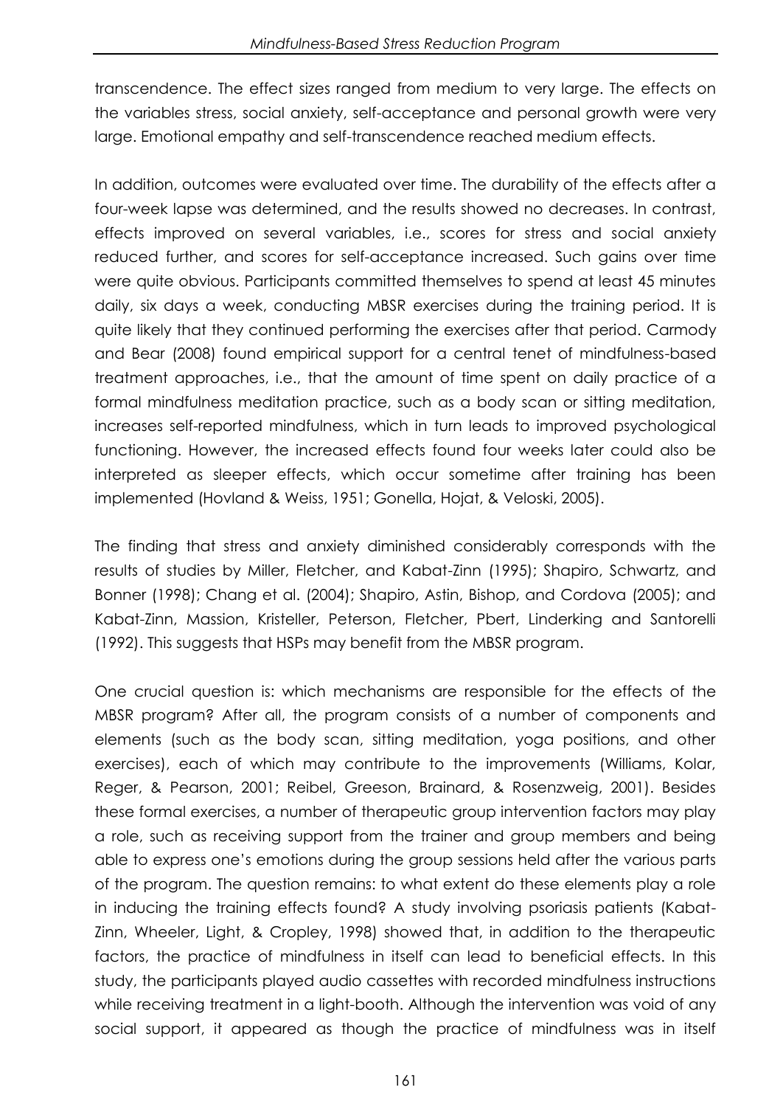transcendence. The effect sizes ranged from medium to very large. The effects on the variables stress, social anxiety, self-acceptance and personal growth were very large. Emotional empathy and self-transcendence reached medium effects.

In addition, outcomes were evaluated over time. The durability of the effects after a four-week lapse was determined, and the results showed no decreases. In contrast, effects improved on several variables, i.e., scores for stress and social anxiety reduced further, and scores for self-acceptance increased. Such gains over time were quite obvious. Participants committed themselves to spend at least 45 minutes daily, six days a week, conducting MBSR exercises during the training period. It is quite likely that they continued performing the exercises after that period. Carmody and Bear (2008) found empirical support for a central tenet of mindfulness-based treatment approaches, i.e., that the amount of time spent on daily practice of a formal mindfulness meditation practice, such as a body scan or sitting meditation, increases self-reported mindfulness, which in turn leads to improved psychological functioning. However, the increased effects found four weeks later could also be interpreted as sleeper effects, which occur sometime after training has been implemented (Hovland & Weiss, 1951; Gonella, Hojat, & Veloski, 2005).

The finding that stress and anxiety diminished considerably corresponds with the results of studies by Miller, Fletcher, and Kabat-Zinn (1995); Shapiro, Schwartz, and Bonner (1998); Chang et al. (2004); Shapiro, Astin, Bishop, and Cordova (2005); and Kabat-Zinn, Massion, Kristeller, Peterson, Fletcher, Pbert, Linderking and Santorelli (1992). This suggests that HSPs may benefit from the MBSR program.

One crucial question is: which mechanisms are responsible for the effects of the MBSR program? After all, the program consists of a number of components and elements (such as the body scan, sitting meditation, yoga positions, and other exercises), each of which may contribute to the improvements (Williams, Kolar, Reger, & Pearson, 2001; Reibel, Greeson, Brainard, & Rosenzweig, 2001). Besides these formal exercises, a number of therapeutic group intervention factors may play a role, such as receiving support from the trainer and group members and being able to express one's emotions during the group sessions held after the various parts of the program. The question remains: to what extent do these elements play a role in inducing the training effects found? A study involving psoriasis patients (Kabat-Zinn, Wheeler, Light, & Cropley, 1998) showed that, in addition to the therapeutic factors, the practice of mindfulness in itself can lead to beneficial effects. In this study, the participants played audio cassettes with recorded mindfulness instructions while receiving treatment in a light-booth. Although the intervention was void of any social support, it appeared as though the practice of mindfulness was in itself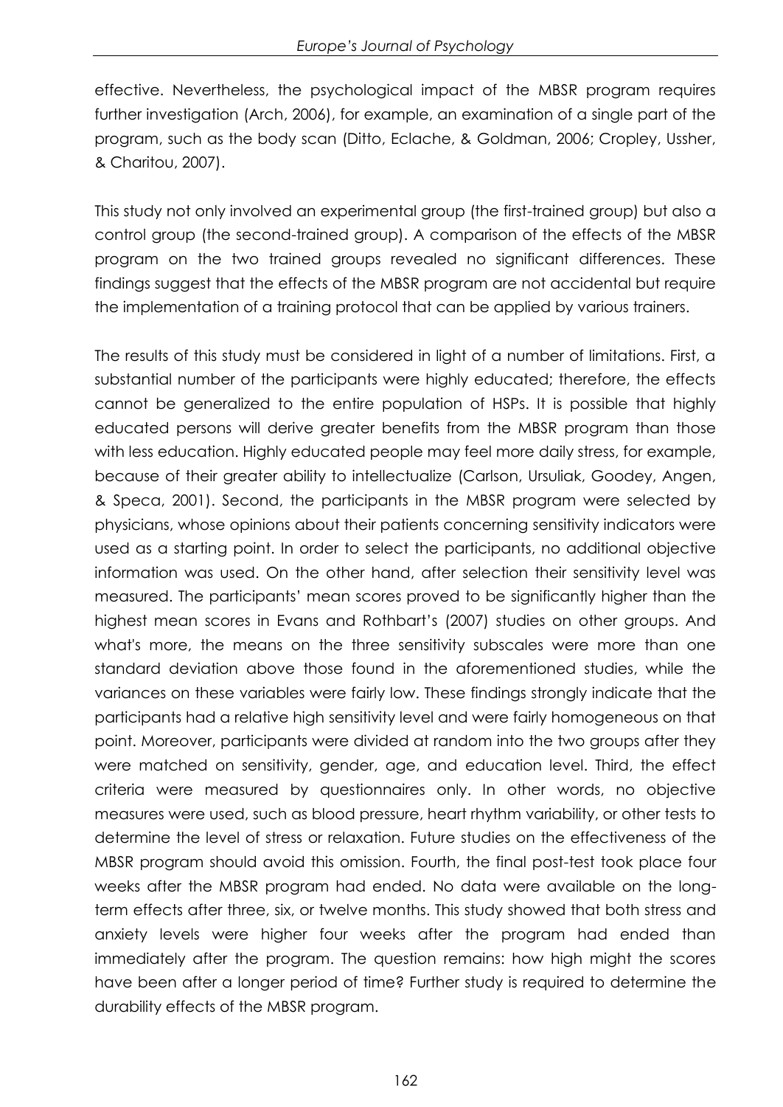effective. Nevertheless, the psychological impact of the MBSR program requires further investigation (Arch, 2006), for example, an examination of a single part of the program, such as the body scan (Ditto, Eclache, & Goldman, 2006; Cropley, Ussher, & Charitou, 2007).

This study not only involved an experimental group (the first-trained group) but also a control group (the second-trained group). A comparison of the effects of the MBSR program on the two trained groups revealed no significant differences. These findings suggest that the effects of the MBSR program are not accidental but require the implementation of a training protocol that can be applied by various trainers.

The results of this study must be considered in light of a number of limitations. First, a substantial number of the participants were highly educated; therefore, the effects cannot be generalized to the entire population of HSPs. It is possible that highly educated persons will derive greater benefits from the MBSR program than those with less education. Highly educated people may feel more daily stress, for example, because of their greater ability to intellectualize (Carlson, Ursuliak, Goodey, Angen, & Speca, 2001). Second, the participants in the MBSR program were selected by physicians, whose opinions about their patients concerning sensitivity indicators were used as a starting point. In order to select the participants, no additional objective information was used. On the other hand, after selection their sensitivity level was measured. The participants' mean scores proved to be significantly higher than the highest mean scores in Evans and Rothbart's (2007) studies on other groups. And what's more, the means on the three sensitivity subscales were more than one standard deviation above those found in the aforementioned studies, while the variances on these variables were fairly low. These findings strongly indicate that the participants had a relative high sensitivity level and were fairly homogeneous on that point. Moreover, participants were divided at random into the two groups after they were matched on sensitivity, gender, age, and education level. Third, the effect criteria were measured by questionnaires only. In other words, no objective measures were used, such as blood pressure, heart rhythm variability, or other tests to determine the level of stress or relaxation. Future studies on the effectiveness of the MBSR program should avoid this omission. Fourth, the final post-test took place four weeks after the MBSR program had ended. No data were available on the longterm effects after three, six, or twelve months. This study showed that both stress and anxiety levels were higher four weeks after the program had ended than immediately after the program. The question remains: how high might the scores have been after a longer period of time? Further study is required to determine the durability effects of the MBSR program.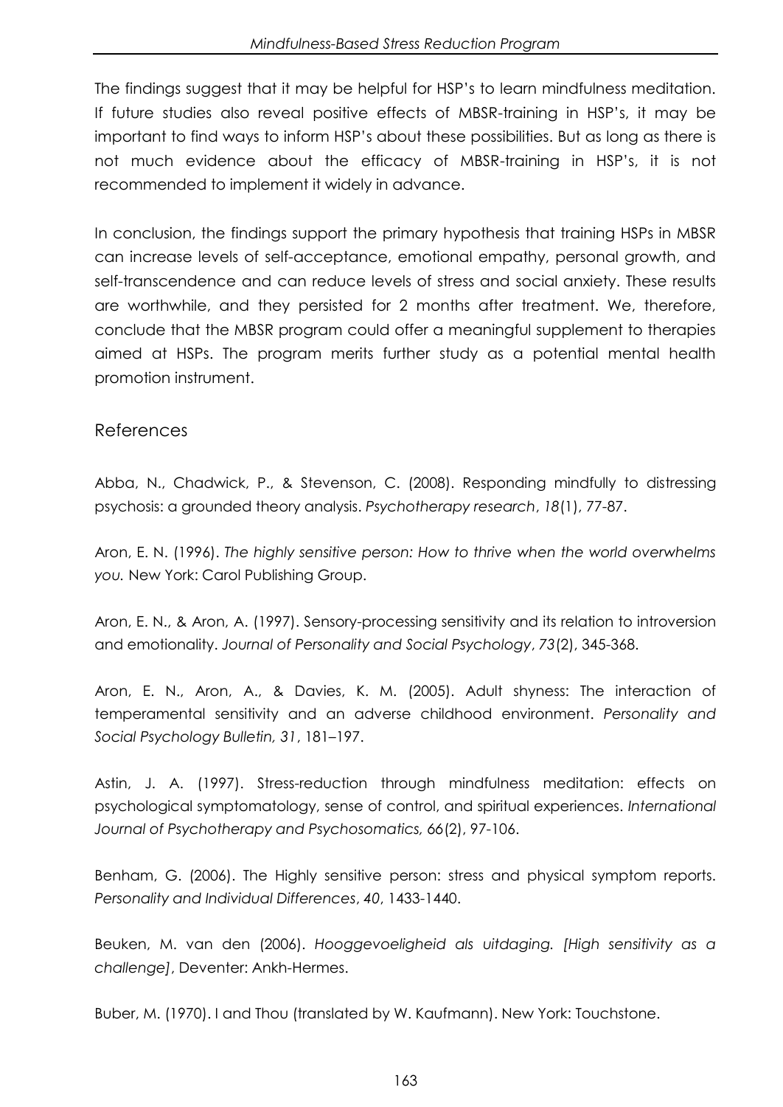The findings suggest that it may be helpful for HSP's to learn mindfulness meditation. If future studies also reveal positive effects of MBSR-training in HSP's, it may be important to find ways to inform HSP's about these possibilities. But as long as there is not much evidence about the efficacy of MBSR-training in HSP's, it is not recommended to implement it widely in advance.

In conclusion, the findings support the primary hypothesis that training HSPs in MBSR can increase levels of self-acceptance, emotional empathy, personal growth, and self-transcendence and can reduce levels of stress and social anxiety. These results are worthwhile, and they persisted for 2 months after treatment. We, therefore, conclude that the MBSR program could offer a meaningful supplement to therapies aimed at HSPs. The program merits further study as a potential mental health promotion instrument.

# References

Abba, N., Chadwick, P., & Stevenson, C. (2008). Responding mindfully to distressing psychosis: a grounded theory analysis. *Psychotherapy research*, *18*(1), 77-87.

Aron, E. N. (1996). *The highly sensitive person: How to thrive when the world overwhelms you.* New York: Carol Publishing Group.

Aron, E. N., & Aron, A. (1997). Sensory-processing sensitivity and its relation to introversion and emotionality. *Journal of Personality and Social Psychology*, *73*(2), 345-368.

Aron, E. N., Aron, A., & Davies, K. M. (2005). Adult shyness: The interaction of temperamental sensitivity and an adverse childhood environment. *Personality and Social Psychology Bulletin, 31*, 181–197.

Astin, J. A. (1997). Stress-reduction through mindfulness meditation: effects on psychological symptomatology, sense of control, and spiritual experiences. *International Journal of Psychotherapy and Psychosomatics, 66*(2), 97-106.

Benham, G. (2006). The Highly sensitive person: stress and physical symptom reports. *Personality and Individual Differences*, *40*, 1433-1440.

Beuken, M. van den (2006). *Hooggevoeligheid als uitdaging. [High sensitivity as a challenge]*, Deventer: Ankh-Hermes.

Buber, M. (1970). I and Thou (translated by W. Kaufmann). New York: Touchstone.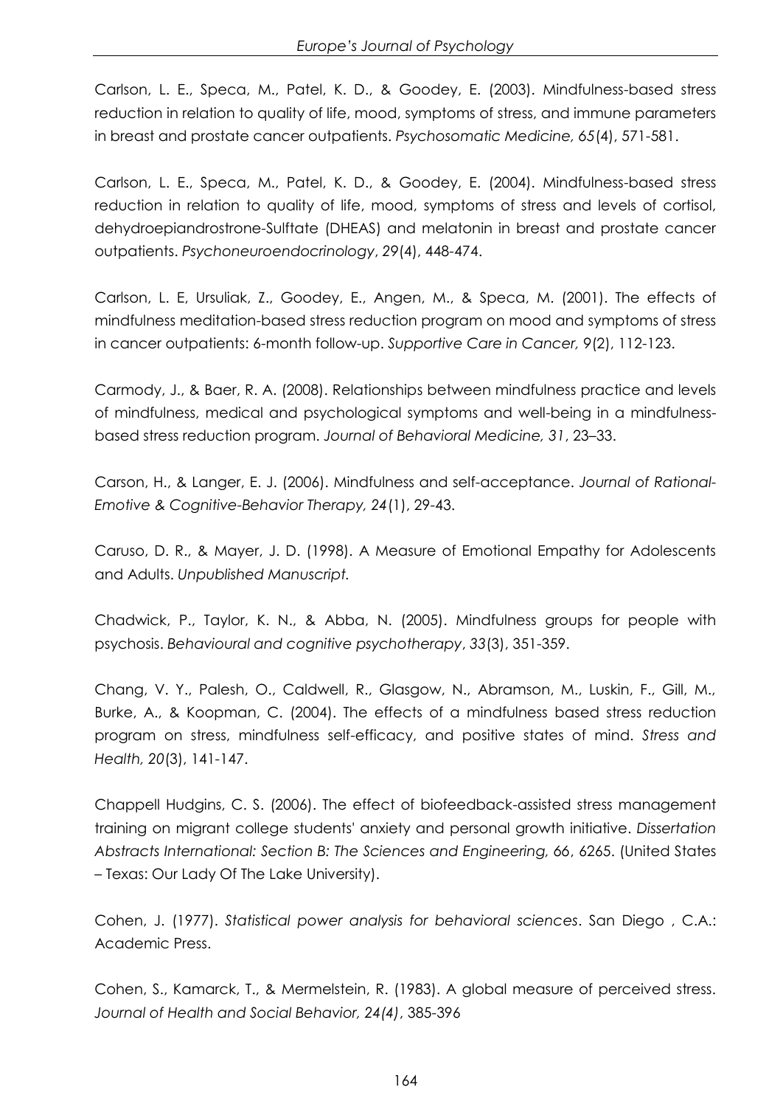Carlson, L. E., Speca, M., Patel, K. D., & Goodey, E. (2003). Mindfulness-based stress reduction in relation to quality of life, mood, symptoms of stress, and immune parameters in breast and prostate cancer outpatients. *Psychosomatic Medicine, 65*(4), 571-581.

Carlson, L. E., Speca, M., Patel, K. D., & Goodey, E. (2004). Mindfulness-based stress reduction in relation to quality of life, mood, symptoms of stress and levels of cortisol, dehydroepiandrostrone-Sulftate (DHEAS) and melatonin in breast and prostate cancer outpatients. *Psychoneuroendocrinology*, *29*(4), 448-474.

Carlson, L. E, Ursuliak, Z., Goodey, E., Angen, M., & Speca, M. (2001). The effects of mindfulness meditation-based stress reduction program on mood and symptoms of stress in cancer outpatients: 6-month follow-up. *Supportive Care in Cancer, 9*(2), 112-123.

Carmody, J., & Baer, R. A. (2008). Relationships between mindfulness practice and levels of mindfulness, medical and psychological symptoms and well-being in a mindfulnessbased stress reduction program. *Journal of Behavioral Medicine, 31*, 23–33.

Carson, H., & Langer, E. J. (2006). Mindfulness and self-acceptance. *Journal of Rational-Emotive & Cognitive-Behavior Therapy, 24*(1), 29-43.

Caruso, D. R., & Mayer, J. D. (1998). A Measure of Emotional Empathy for Adolescents and Adults. *Unpublished Manuscript.* 

Chadwick, P., Taylor, K. N., & Abba, N. (2005). Mindfulness groups for people with psychosis. *Behavioural and cognitive psychotherapy*, *33*(3), 351-359.

Chang, V. Y., Palesh, O., Caldwell, R., Glasgow, N., Abramson, M., Luskin, F., Gill, M., Burke, A., & Koopman, C. (2004). The effects of a mindfulness based stress reduction program on stress, mindfulness self-efficacy, and positive states of mind. *Stress and Health, 20*(3), 141-147.

Chappell Hudgins, C. S. (2006). The effect of biofeedback-assisted stress management training on migrant college students' anxiety and personal growth initiative. *Dissertation Abstracts International: Section B: The Sciences and Engineering, 66*, 6265. (United States – Texas: Our Lady Of The Lake University).

Cohen, J. (1977). *Statistical power analysis for behavioral sciences*. San Diego , C.A.: Academic Press.

Cohen, S., Kamarck, T., & Mermelstein, R. (1983). A global measure of perceived stress. *Journal of Health and Social Behavior, 24(4)*, 385-396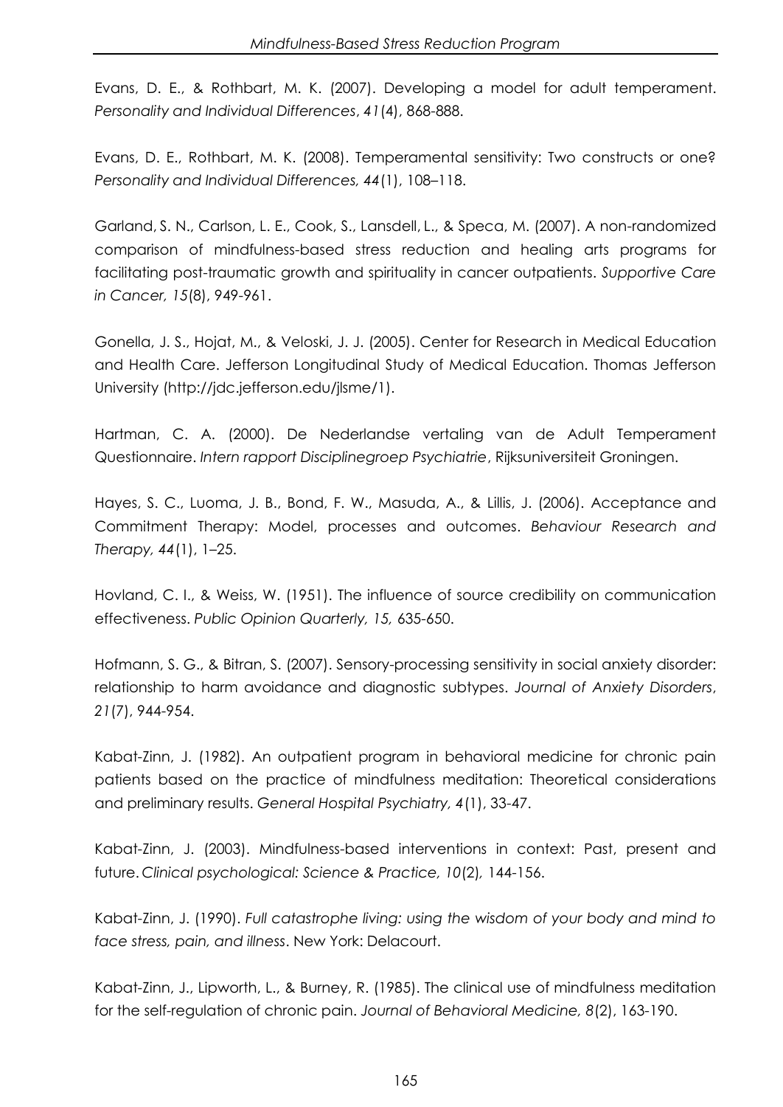Evans, D. E., & Rothbart, M. K. (2007). Developing a model for adult temperament. *Personality and Individual Differences*, *41*(4), 868-888.

Evans, D. E., Rothbart, M. K. (2008). Temperamental sensitivity: Two constructs or one? *Personality and Individual Differences, 44*(1), 108–118.

Garland, S. N., Carlson, L. E., Cook, S., Lansdell, L., & Speca, M. (2007). A non-randomized comparison of mindfulness-based stress reduction and healing arts programs for facilitating post-traumatic growth and spirituality in cancer outpatients. *[Supportive Care](http://www.springerlink.com/content/101182/?p=d90f286e794f4407bbfef54813dfb97e&pi=0)  [in Cancer,](http://www.springerlink.com/content/101182/?p=d90f286e794f4407bbfef54813dfb97e&pi=0) 15*[\(8\),](http://www.springerlink.com/content/r05q7071781v/?p=d90f286e794f4407bbfef54813dfb97e&pi=0) 949-961.

Gonella, J. S., Hojat, M., & Veloski, J. J. (2005). Center for Research in Medical Education and Health Care. Jefferson Longitudinal Study of Medical Education. Thomas Jefferson University [\(http://jdc.jefferson.edu/jlsme/1\)](http://jdc.jefferson.edu/jlsme/1).

Hartman, C. A. (2000). De Nederlandse vertaling van de Adult Temperament Questionnaire. *Intern rapport Disciplinegroep Psychiatrie*, Rijksuniversiteit Groningen.

Hayes, S. C., Luoma, J. B., Bond, F. W., Masuda, A., & Lillis, J. (2006). Acceptance and Commitment Therapy: Model, processes and outcomes. *Behaviour Research and Therapy, 44*(1), 1–25.

Hovland, C. I., & Weiss, W. (1951). The influence of source credibility on communication effectiveness. *Public Opinion Quarterly, 15,* 635-650.

Hofmann, S. G., & Bitran, S. (2007). Sensory-processing sensitivity in social anxiety disorder: relationship to harm avoidance and diagnostic subtypes. *Journal of Anxiety Disorders*, *21*(7), 944-954.

Kabat-Zinn, J. (1982). An outpatient program in behavioral medicine for chronic pain patients based on the practice of mindfulness meditation: Theoretical considerations and preliminary results. *General Hospital Psychiatry, 4*(1), 33-47.

Kabat-Zinn, J. (2003). Mindfulness-based interventions in context: Past, present and future. *Clinical psychological: Science & Practice, 10*(2)*,* 144-156.

Kabat-Zinn, J. (1990). *Full catastrophe living: using the wisdom of your body and mind to face stress, pain, and illness*. New York: Delacourt.

Kabat-Zinn, J., Lipworth, L., & Burney, R. (1985). The clinical use of mindfulness meditation for the self-regulation of chronic pain. *Journal of Behavioral Medicine, 8*(2), 163-190.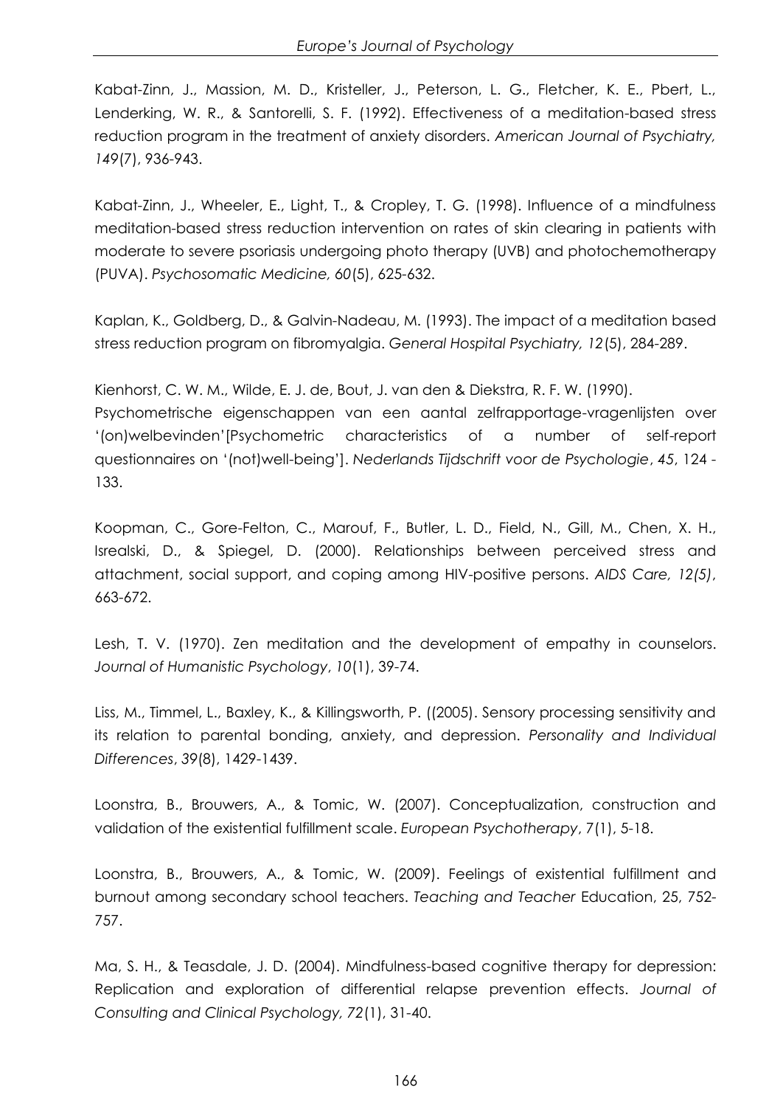Kabat-Zinn, J., Massion, M. D., Kristeller, J., Peterson, L. G., Fletcher, K. E., Pbert, L., Lenderking, W. R., & Santorelli, S. F. (1992). Effectiveness of a meditation-based stress reduction program in the treatment of anxiety disorders. *American Journal of Psychiatry, 149*(7), 936-943.

Kabat-Zinn, J., Wheeler, E., Light, T., & Cropley, T. G. (1998). Influence of a mindfulness meditation-based stress reduction intervention on rates of skin clearing in patients with moderate to severe psoriasis undergoing photo therapy (UVB) and photochemotherapy (PUVA). *Psychosomatic Medicine, 60*(5), 625-632.

Kaplan, K., Goldberg, D., & Galvin-Nadeau, M. (1993). The impact of a meditation based stress reduction program on fibromyalgia. *General Hospital Psychiatry, 12*(5), 284-289.

Kienhorst, C. W. M., Wilde, E. J. de, Bout, J. van den & Diekstra, R. F. W. (1990). Psychometrische eigenschappen van een aantal zelfrapportage-vragenlijsten over

'(on)welbevinden'[Psychometric characteristics of a number of self-report questionnaires on '(not)well-being']. *Nederlands Tijdschrift voor de Psychologie*, *45*, 124 - 133.

Koopman, C., Gore-Felton, C., Marouf, F., Butler, L. D., Field, N., Gill, M., Chen, X. H., Isrealski, D., & Spiegel, D. (2000). Relationships between perceived stress and attachment, social support, and coping among HIV-positive persons. *AIDS Care, 12(5)*, 663-672.

Lesh, T. V. (1970). Zen meditation and the development of empathy in counselors. *Journal of Humanistic Psychology*, *10*(1), 39-74.

Liss, M., Timmel, L., Baxley, K., & Killingsworth, P. ((2005). Sensory processing sensitivity and its relation to parental bonding, anxiety, and depression. *Personality and Individual Differences*, *39*(8), 1429-1439.

Loonstra, B., Brouwers, A., & Tomic, W. (2007). Conceptualization, construction and validation of the existential fulfillment scale. *European Psychotherapy*, 7(1), 5-18.

Loonstra, B., Brouwers, A., & Tomic, W. (2009). Feelings of existential fulfillment and burnout among secondary school teachers. *Teaching and Teacher* Education, 25, 752- 757.

Ma, S. H., & Teasdale, J. D. (2004). Mindfulness-based cognitive therapy for depression: Replication and exploration of differential relapse prevention effects. *Journal of Consulting and Clinical Psychology, 72*(1), 31-40.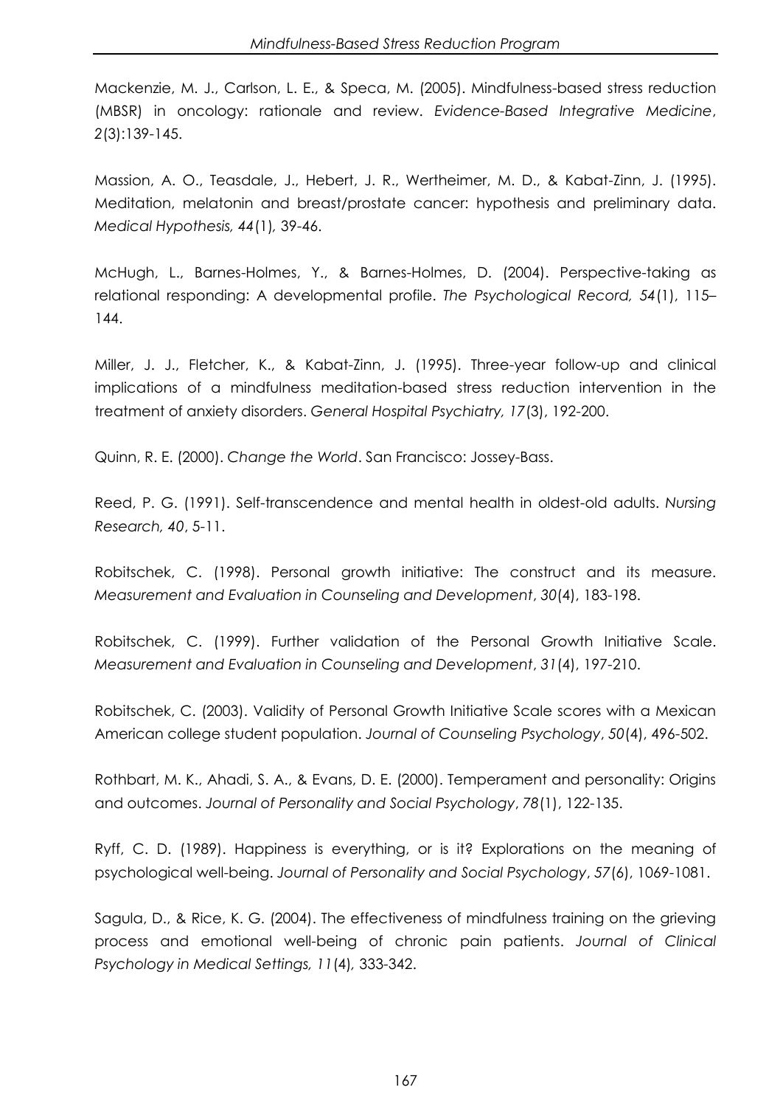Mackenzie, M. J., Carlson, L. E., & Speca, M. (2005). Mindfulness-based stress reduction (MBSR) in oncology: rationale and review. *Evidence-Based Integrative Medicine*, *2*(3):139-145.

Massion, A. O., Teasdale, J., Hebert, J. R., Wertheimer, M. D., & Kabat-Zinn, J. (1995). Meditation, melatonin and breast/prostate cancer: hypothesis and preliminary data. *Medical Hypothesis, 44*(1)*,* 39-46.

McHugh, L., Barnes-Holmes, Y., & Barnes-Holmes, D. (2004). Perspective-taking as relational responding: A developmental profile. *The Psychological Record, 54*(1), 115– 144.

Miller, J. J., Fletcher, K., & Kabat-Zinn, J. (1995). Three-year follow-up and clinical implications of a mindfulness meditation-based stress reduction intervention in the treatment of anxiety disorders. *General Hospital Psychiatry, 17*(3), 192-200.

Quinn, R. E. (2000). *Change the World*. San Francisco: Jossey-Bass.

Reed, P. G. (1991). Self-transcendence and mental health in oldest-old adults. *Nursing Research, 40*, 5-11.

Robitschek, C. (1998). Personal growth initiative: The construct and its measure. *Measurement and Evaluation in Counseling and Development*, *30*(4), 183-198.

Robitschek, C. (1999). Further validation of the Personal Growth Initiative Scale. *Measurement and Evaluation in Counseling and Development*, *31*(4), 197-210.

Robitschek, C. (2003). Validity of Personal Growth Initiative Scale scores with a Mexican American college student population. *Journal of Counseling Psychology*, *50*(4), 496-502.

Rothbart, M. K., Ahadi, S. A., & Evans, D. E. (2000). Temperament and personality: Origins and outcomes. *Journal of Personality and Social Psychology*, *78*(1), 122-135.

Ryff, C. D. (1989). Happiness is everything, or is it? Explorations on the meaning of psychological well-being. *Journal of Personality and Social Psychology*, *57*(6), 1069-1081.

Sagula, D., & Rice, K. G. (2004). The effectiveness of mindfulness training on the grieving process and emotional well-being of chronic pain patients. *Journal of Clinical Psychology in Medical Settings, 11*(4)*,* 333-342.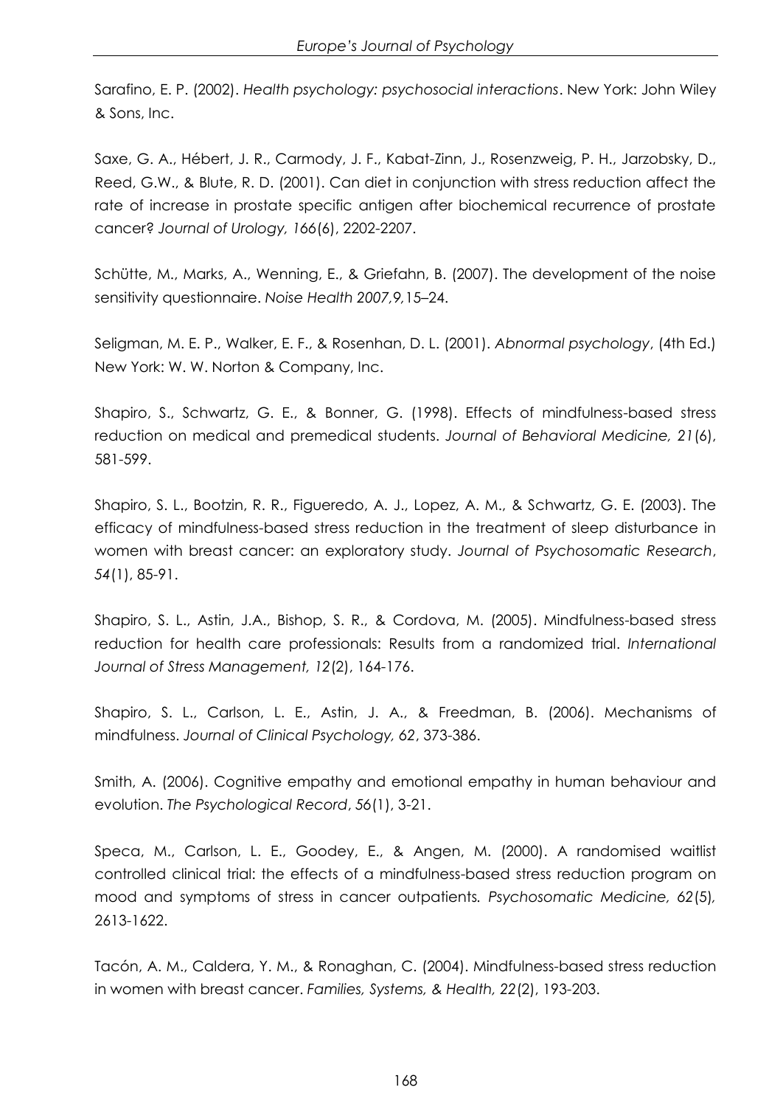Sarafino, E. P. (2002). *Health psychology: psychosocial interactions*. New York: John Wiley & Sons, Inc.

Saxe, G. A., Hébert, J. R., Carmody, J. F., Kabat-Zinn, J., Rosenzweig, P. H., Jarzobsky, D., Reed, G.W., & Blute, R. D. (2001). Can diet in conjunction with stress reduction affect the rate of increase in prostate specific antigen after biochemical recurrence of prostate cancer? *Journal of Urology, 166*(6), 2202-2207.

Schütte, M., Marks, A., Wenning, E., & Griefahn, B. (2007). The development of the noise sensitivity questionnaire. *Noise Health 2007,9,*15–24.

Seligman, M. E. P., Walker, E. F., & Rosenhan, D. L. (2001). *Abnormal psychology*, (4th Ed.) New York: W. W. Norton & Company, Inc.

Shapiro, S., Schwartz, G. E., & Bonner, G. (1998). Effects of mindfulness-based stress reduction on medical and premedical students. *Journal of Behavioral Medicine, 21*(6), 581-599.

Shapiro, S. L., Bootzin, R. R., Figueredo, A. J., Lopez, A. M., & Schwartz, G. E. (2003). The efficacy of mindfulness-based stress reduction in the treatment of sleep disturbance in women with breast cancer: an exploratory study. *Journal of Psychosomatic Research*, *54*(1), 85-91.

Shapiro, S. L., Astin, J.A., Bishop, S. R., & Cordova, M. (2005). Mindfulness-based stress reduction for health care professionals: Results from a randomized trial. *International Journal of Stress Management, 12*(2), 164-176.

Shapiro, S. L., Carlson, L. E., Astin, J. A., & Freedman, B. (2006). Mechanisms of mindfulness. *Journal of Clinical Psychology, 62*, 373-386.

Smith, A. (2006). Cognitive empathy and emotional empathy in human behaviour and evolution. *The Psychological Record*, *56*(1), 3-21.

Speca, M., Carlson, L. E., Goodey, E., & Angen, M. (2000). A randomised waitlist controlled clinical trial: the effects of a mindfulness-based stress reduction program on mood and symptoms of stress in cancer outpatients*. Psychosomatic Medicine, 62*(5)*,* 2613-1622.

Tacón, A. M., Caldera, Y. M., & Ronaghan, C. (2004). Mindfulness-based stress reduction in women with breast cancer. *Families, Systems, & Health, 22*(2), 193-203.